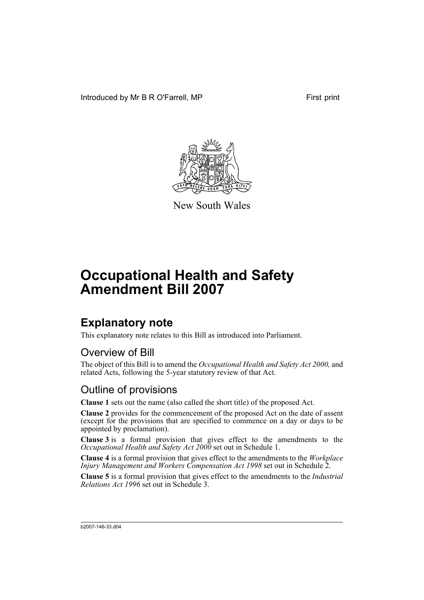Introduced by Mr B R O'Farrell, MP First print



New South Wales

# **Occupational Health and Safety Amendment Bill 2007**

# **Explanatory note**

This explanatory note relates to this Bill as introduced into Parliament.

# Overview of Bill

The object of this Bill is to amend the *Occupational Health and Safety Act 2000,* and related Acts, following the 5-year statutory review of that Act.

### Outline of provisions

**Clause 1** sets out the name (also called the short title) of the proposed Act.

**Clause 2** provides for the commencement of the proposed Act on the date of assent (except for the provisions that are specified to commence on a day or days to be appointed by proclamation).

**Clause 3** is a formal provision that gives effect to the amendments to the *Occupational Health and Safety Act 2000* set out in Schedule 1.

**Clause 4** is a formal provision that gives effect to the amendments to the *Workplace Injury Management and Workers Compensation Act 1998* set out in Schedule 2.

**Clause 5** is a formal provision that gives effect to the amendments to the *Industrial Relations Act 1996* set out in Schedule 3.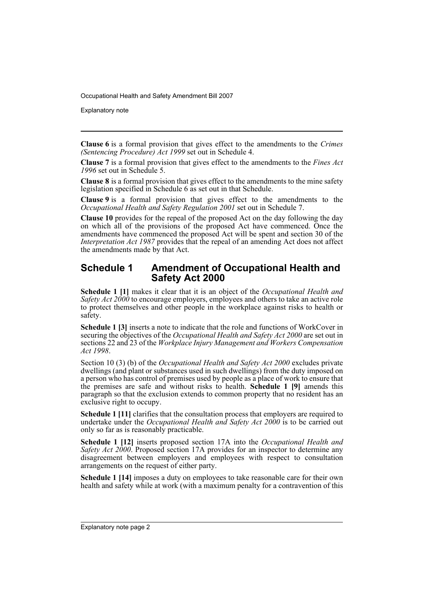Explanatory note

**Clause 6** is a formal provision that gives effect to the amendments to the *Crimes (Sentencing Procedure) Act 1999* set out in Schedule 4.

**Clause 7** is a formal provision that gives effect to the amendments to the *Fines Act 1996* set out in Schedule 5.

**Clause 8** is a formal provision that gives effect to the amendments to the mine safety legislation specified in Schedule 6 as set out in that Schedule.

**Clause 9** is a formal provision that gives effect to the amendments to the *Occupational Health and Safety Regulation 2001* set out in Schedule 7.

**Clause 10** provides for the repeal of the proposed Act on the day following the day on which all of the provisions of the proposed Act have commenced. Once the amendments have commenced the proposed Act will be spent and section 30 of the *Interpretation Act 1987* provides that the repeal of an amending Act does not affect the amendments made by that Act.

#### **Schedule 1 Amendment of Occupational Health and Safety Act 2000**

**Schedule 1 [1]** makes it clear that it is an object of the *Occupational Health and Safety Act 2000* to encourage employers, employees and others to take an active role to protect themselves and other people in the workplace against risks to health or safety.

**Schedule 1 [3]** inserts a note to indicate that the role and functions of WorkCover in securing the objectives of the *Occupational Health and Safety Act 2000* are set out in sections 22 and 23 of the *Workplace Injury Management and Workers Compensation Act 1998*.

Section 10 (3) (b) of the *Occupational Health and Safety Act 2000* excludes private dwellings (and plant or substances used in such dwellings) from the duty imposed on a person who has control of premises used by people as a place of work to ensure that the premises are safe and without risks to health. **Schedule 1 [9]** amends this paragraph so that the exclusion extends to common property that no resident has an exclusive right to occupy.

**Schedule 1 [11]** clarifies that the consultation process that employers are required to undertake under the *Occupational Health and Safety Act 2000* is to be carried out only so far as is reasonably practicable.

**Schedule 1 [12]** inserts proposed section 17A into the *Occupational Health and Safety Act 2000*. Proposed section 17A provides for an inspector to determine any disagreement between employers and employees with respect to consultation arrangements on the request of either party.

**Schedule 1 [14]** imposes a duty on employees to take reasonable care for their own health and safety while at work (with a maximum penalty for a contravention of this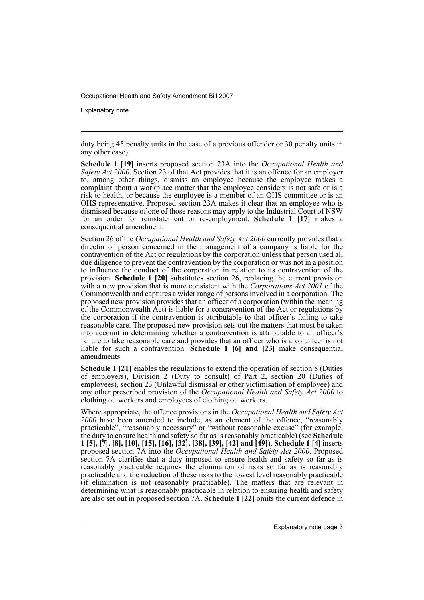Explanatory note

duty being 45 penalty units in the case of a previous offender or 30 penalty units in any other case).

**Schedule 1 [19]** inserts proposed section 23A into the *Occupational Health and Safety Act 2000*. Section 23 of that Act provides that it is an offence for an employer to, among other things, dismiss an employee because the employee makes a complaint about a workplace matter that the employee considers is not safe or is a risk to health, or because the employee is a member of an OHS committee or is an OHS representative. Proposed section 23A makes it clear that an employee who is dismissed because of one of those reasons may apply to the Industrial Court of NSW for an order for reinstatement or re-employment. **Schedule 1 [17]** makes a consequential amendment.

Section 26 of the *Occupational Health and Safety Act 2000* currently provides that a director or person concerned in the management of a company is liable for the contravention of the Act or regulations by the corporation unless that person used all due diligence to prevent the contravention by the corporation or was not in a position to influence the conduct of the corporation in relation to its contravention of the provision. **Schedule 1 [20]** substitutes section 26, replacing the current provision with a new provision that is more consistent with the *Corporations Act 2001* of the Commonwealth and captures a wider range of persons involved in a corporation. The proposed new provision provides that an officer of a corporation (within the meaning of the Commonwealth Act) is liable for a contravention of the Act or regulations by the corporation if the contravention is attributable to that officer's failing to take reasonable care. The proposed new provision sets out the matters that must be taken into account in determining whether a contravention is attributable to an officer's failure to take reasonable care and provides that an officer who is a volunteer is not liable for such a contravention. **Schedule 1 [6] and [23]** make consequential amendments.

**Schedule 1 [21]** enables the regulations to extend the operation of section 8 (Duties of employers), Division 2 (Duty to consult) of Part 2, section 20 (Duties of employees), section 23 (Unlawful dismissal or other victimisation of employee) and any other prescribed provision of the *Occupational Health and Safety Act 2000* to clothing outworkers and employees of clothing outworkers.

Where appropriate, the offence provisions in the *Occupational Health and Safety Act 2000* have been amended to include, as an element of the offence, "reasonably practicable", "reasonably necessary" or "without reasonable excuse" (for example, the duty to ensure health and safety so far as is reasonably practicable) (see **Schedule 1 [5], [7], [8], [10], [15], [16], [32], [38], [39], [42] and [49]**). **Schedule 1 [4]** inserts proposed section 7A into the *Occupational Health and Safety Act 2000*. Proposed section 7A clarifies that a duty imposed to ensure health and safety so far as is reasonably practicable requires the elimination of risks so far as is reasonably practicable and the reduction of these risks to the lowest level reasonably practicable (if elimination is not reasonably practicable). The matters that are relevant in determining what is reasonably practicable in relation to ensuring health and safety are also set out in proposed section 7A. **Schedule 1 [22]** omits the current defence in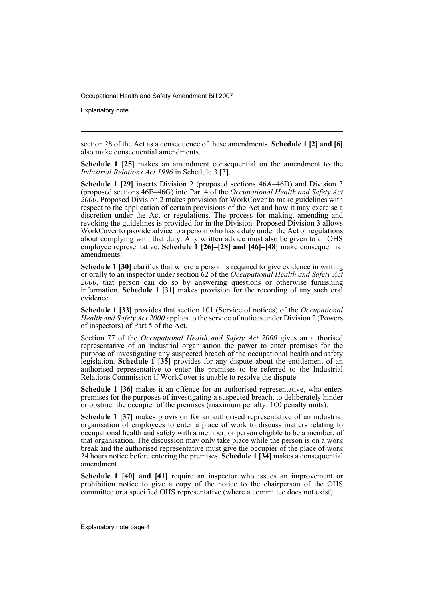Explanatory note

section 28 of the Act as a consequence of these amendments. **Schedule 1 [2] and [6]** also make consequential amendments.

**Schedule 1 [25]** makes an amendment consequential on the amendment to the *Industrial Relations Act 1996* in Schedule 3 [3].

**Schedule 1 [29]** inserts Division 2 (proposed sections 46A–46D) and Division 3 (proposed sections 46E–46G) into Part 4 of the *Occupational Health and Safety Act 2000*. Proposed Division 2 makes provision for WorkCover to make guidelines with respect to the application of certain provisions of the Act and how it may exercise a discretion under the Act or regulations. The process for making, amending and revoking the guidelines is provided for in the Division. Proposed Division 3 allows WorkCover to provide advice to a person who has a duty under the Act or regulations about complying with that duty. Any written advice must also be given to an OHS employee representative. **Schedule 1 [26]–[28] and [46]–[48]** make consequential amendments.

**Schedule 1 [30]** clarifies that where a person is required to give evidence in writing or orally to an inspector under section 62 of the *Occupational Health and Safety Act 2000*, that person can do so by answering questions or otherwise furnishing information. **Schedule 1 [31]** makes provision for the recording of any such oral evidence.

**Schedule 1 [33]** provides that section 101 (Service of notices) of the *Occupational Health and Safety Act 2000* applies to the service of notices under Division 2 (Powers of inspectors) of Part 5 of the Act.

Section 77 of the *Occupational Health and Safety Act 2000* gives an authorised representative of an industrial organisation the power to enter premises for the purpose of investigating any suspected breach of the occupational health and safety legislation. **Schedule 1 [35]** provides for any dispute about the entitlement of an authorised representative to enter the premises to be referred to the Industrial Relations Commission if WorkCover is unable to resolve the dispute.

**Schedule 1 [36]** makes it an offence for an authorised representative, who enters premises for the purposes of investigating a suspected breach, to deliberately hinder or obstruct the occupier of the premises (maximum penalty: 100 penalty units).

**Schedule 1 [37]** makes provision for an authorised representative of an industrial organisation of employees to enter a place of work to discuss matters relating to occupational health and safety with a member, or person eligible to be a member, of that organisation. The discussion may only take place while the person is on a work break and the authorised representative must give the occupier of the place of work 24 hours notice before entering the premises. **Schedule 1 [34]** makes a consequential amendment.

**Schedule 1 [40] and [41]** require an inspector who issues an improvement or prohibition notice to give a copy of the notice to the chairperson of the OHS committee or a specified OHS representative (where a committee does not exist).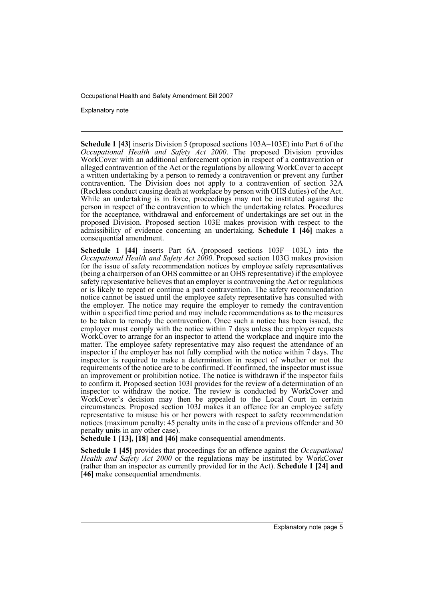Explanatory note

**Schedule 1 [43]** inserts Division 5 (proposed sections 103A–103E) into Part 6 of the *Occupational Health and Safety Act 2000*. The proposed Division provides WorkCover with an additional enforcement option in respect of a contravention or alleged contravention of the Act or the regulations by allowing WorkCover to accept a written undertaking by a person to remedy a contravention or prevent any further contravention. The Division does not apply to a contravention of section 32A (Reckless conduct causing death at workplace by person with OHS duties) of the Act. While an undertaking is in force, proceedings may not be instituted against the person in respect of the contravention to which the undertaking relates. Procedures for the acceptance, withdrawal and enforcement of undertakings are set out in the proposed Division. Proposed section 103E makes provision with respect to the admissibility of evidence concerning an undertaking. **Schedule 1 [46]** makes a consequential amendment.

**Schedule 1 [44]** inserts Part 6A (proposed sections 103F—103L) into the *Occupational Health and Safety Act 2000*. Proposed section 103G makes provision for the issue of safety recommendation notices by employee safety representatives (being a chairperson of an OHS committee or an OHS representative) if the employee safety representative believes that an employer is contravening the Act or regulations or is likely to repeat or continue a past contravention. The safety recommendation notice cannot be issued until the employee safety representative has consulted with the employer. The notice may require the employer to remedy the contravention within a specified time period and may include recommendations as to the measures to be taken to remedy the contravention. Once such a notice has been issued, the employer must comply with the notice within 7 days unless the employer requests WorkCover to arrange for an inspector to attend the workplace and inquire into the matter. The employee safety representative may also request the attendance of an inspector if the employer has not fully complied with the notice within 7 days. The inspector is required to make a determination in respect of whether or not the requirements of the notice are to be confirmed. If confirmed, the inspector must issue an improvement or prohibition notice. The notice is withdrawn if the inspector fails to confirm it. Proposed section 103I provides for the review of a determination of an inspector to withdraw the notice. The review is conducted by WorkCover and WorkCover's decision may then be appealed to the Local Court in certain circumstances. Proposed section 103J makes it an offence for an employee safety representative to misuse his or her powers with respect to safety recommendation notices (maximum penalty: 45 penalty units in the case of a previous offender and 30 penalty units in any other case).

**Schedule 1 [13], [18] and [46]** make consequential amendments.

**Schedule 1 [45]** provides that proceedings for an offence against the *Occupational Health and Safety Act 2000* or the regulations may be instituted by WorkCover (rather than an inspector as currently provided for in the Act). **Schedule 1 [24] and [46]** make consequential amendments.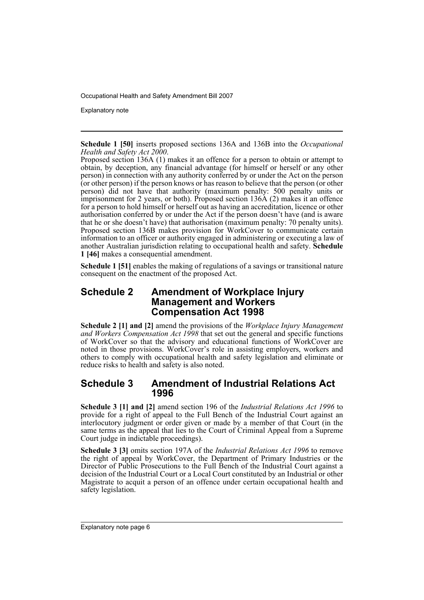Explanatory note

**Schedule 1 [50]** inserts proposed sections 136A and 136B into the *Occupational Health and Safety Act 2000*.

Proposed section 136A (1) makes it an offence for a person to obtain or attempt to obtain, by deception, any financial advantage (for himself or herself or any other person) in connection with any authority conferred by or under the Act on the person (or other person) if the person knows or has reason to believe that the person (or other person) did not have that authority (maximum penalty: 500 penalty units or imprisonment for 2 years, or both). Proposed section 136A (2) makes it an offence for a person to hold himself or herself out as having an accreditation, licence or other authorisation conferred by or under the Act if the person doesn't have (and is aware that he or she doesn't have) that authorisation (maximum penalty: 70 penalty units). Proposed section 136B makes provision for WorkCover to communicate certain information to an officer or authority engaged in administering or executing a law of another Australian jurisdiction relating to occupational health and safety. **Schedule 1 [46]** makes a consequential amendment.

**Schedule 1 [51]** enables the making of regulations of a savings or transitional nature consequent on the enactment of the proposed Act.

### **Schedule 2 Amendment of Workplace Injury Management and Workers Compensation Act 1998**

**Schedule 2 [1] and [2]** amend the provisions of the *Workplace Injury Management and Workers Compensation Act 1998* that set out the general and specific functions of WorkCover so that the advisory and educational functions of WorkCover are noted in those provisions. WorkCover's role in assisting employers, workers and others to comply with occupational health and safety legislation and eliminate or reduce risks to health and safety is also noted.

#### **Schedule 3 Amendment of Industrial Relations Act 1996**

**Schedule 3 [1] and [2]** amend section 196 of the *Industrial Relations Act 1996* to provide for a right of appeal to the Full Bench of the Industrial Court against an interlocutory judgment or order given or made by a member of that Court (in the same terms as the appeal that lies to the Court of Criminal Appeal from a Supreme Court judge in indictable proceedings).

**Schedule 3 [3]** omits section 197A of the *Industrial Relations Act 1996* to remove the right of appeal by WorkCover, the Department of Primary Industries or the Director of Public Prosecutions to the Full Bench of the Industrial Court against a decision of the Industrial Court or a Local Court constituted by an Industrial or other Magistrate to acquit a person of an offence under certain occupational health and safety legislation.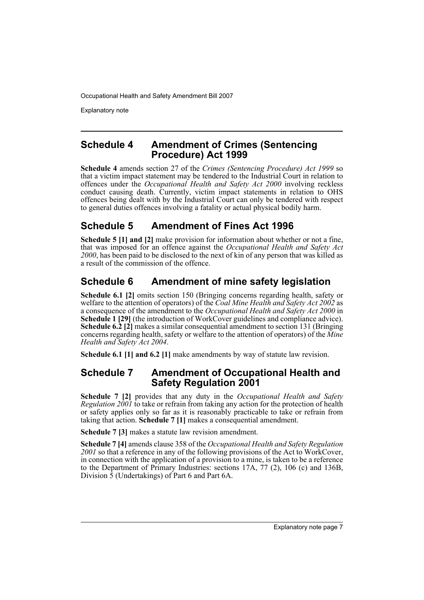Explanatory note

#### **Schedule 4 Amendment of Crimes (Sentencing Procedure) Act 1999**

**Schedule 4** amends section 27 of the *Crimes (Sentencing Procedure) Act 1999* so that a victim impact statement may be tendered to the Industrial Court in relation to offences under the *Occupational Health and Safety Act 2000* involving reckless conduct causing death. Currently, victim impact statements in relation to OHS offences being dealt with by the Industrial Court can only be tendered with respect to general duties offences involving a fatality or actual physical bodily harm.

# **Schedule 5 Amendment of Fines Act 1996**

**Schedule 5 [1] and [2]** make provision for information about whether or not a fine, that was imposed for an offence against the *Occupational Health and Safety Act 2000*, has been paid to be disclosed to the next of kin of any person that was killed as a result of the commission of the offence.

# **Schedule 6 Amendment of mine safety legislation**

**Schedule 6.1 [2]** omits section 150 (Bringing concerns regarding health, safety or welfare to the attention of operators) of the *Coal Mine Health and Safety Act 2002* as a consequence of the amendment to the *Occupational Health and Safety Act 2000* in **Schedule 1 [29]** (the introduction of WorkCover guidelines and compliance advice). **Schedule 6.2 [2]** makes a similar consequential amendment to section 131 (Bringing concerns regarding health, safety or welfare to the attention of operators) of the *Mine Health and Safety Act 2004*.

**Schedule 6.1 [1] and 6.2 [1]** make amendments by way of statute law revision.

### **Schedule 7 Amendment of Occupational Health and Safety Regulation 2001**

**Schedule 7 [2]** provides that any duty in the *Occupational Health and Safety Regulation 2001* to take or refrain from taking any action for the protection of health or safety applies only so far as it is reasonably practicable to take or refrain from taking that action. **Schedule 7 [1]** makes a consequential amendment.

**Schedule 7 [3]** makes a statute law revision amendment.

**Schedule 7 [4]** amends clause 358 of the *Occupational Health and Safety Regulation 2001* so that a reference in any of the following provisions of the Act to WorkCover, in connection with the application of a provision to a mine, is taken to be a reference to the Department of Primary Industries: sections  $17A$ ,  $77$  (2),  $106$  (c) and  $136B$ , Division 5 (Undertakings) of Part 6 and Part 6A.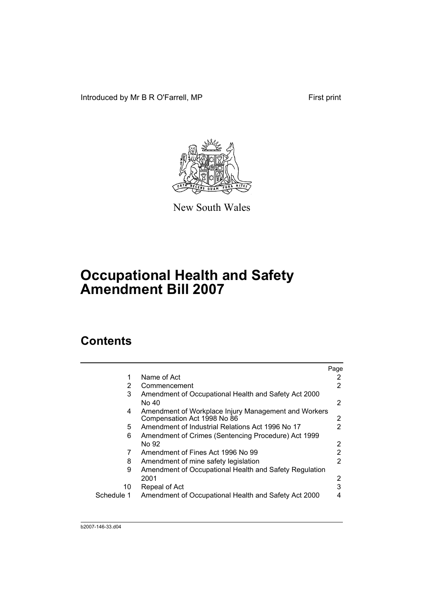Introduced by Mr B R O'Farrell, MP First print



New South Wales

# **Occupational Health and Safety Amendment Bill 2007**

# **Contents**

|            |                                                                                     | Page |
|------------|-------------------------------------------------------------------------------------|------|
| 1          | Name of Act                                                                         |      |
| 2          | Commencement                                                                        | 2    |
| 3          | Amendment of Occupational Health and Safety Act 2000                                |      |
|            | No 40                                                                               | 2    |
| 4          | Amendment of Workplace Injury Management and Workers<br>Compensation Act 1998 No 86 | 2    |
| 5.         | Amendment of Industrial Relations Act 1996 No 17                                    | 2    |
| 6          | Amendment of Crimes (Sentencing Procedure) Act 1999                                 |      |
|            | No 92                                                                               | 2    |
| 7          | Amendment of Fines Act 1996 No 99                                                   | 2    |
| 8          | Amendment of mine safety legislation                                                | 2    |
| 9          | Amendment of Occupational Health and Safety Regulation                              |      |
|            | 2001                                                                                | 2    |
| 10         | Repeal of Act                                                                       | 3    |
| Schedule 1 | Amendment of Occupational Health and Safety Act 2000                                | 4    |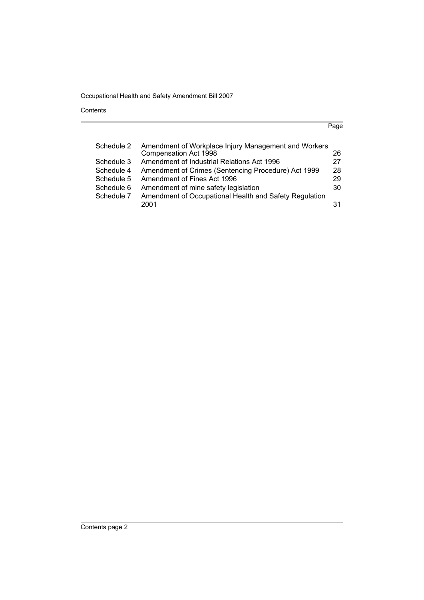Contents

| ×<br>۰.<br>I |
|--------------|
|--------------|

| Schedule 2 | Amendment of Workplace Injury Management and Workers   |    |
|------------|--------------------------------------------------------|----|
|            | Compensation Act 1998                                  | 26 |
| Schedule 3 | Amendment of Industrial Relations Act 1996             | 27 |
| Schedule 4 | Amendment of Crimes (Sentencing Procedure) Act 1999    | 28 |
| Schedule 5 | Amendment of Fines Act 1996                            | 29 |
| Schedule 6 | Amendment of mine safety legislation                   | 30 |
| Schedule 7 | Amendment of Occupational Health and Safety Regulation |    |
|            | 2001                                                   | 31 |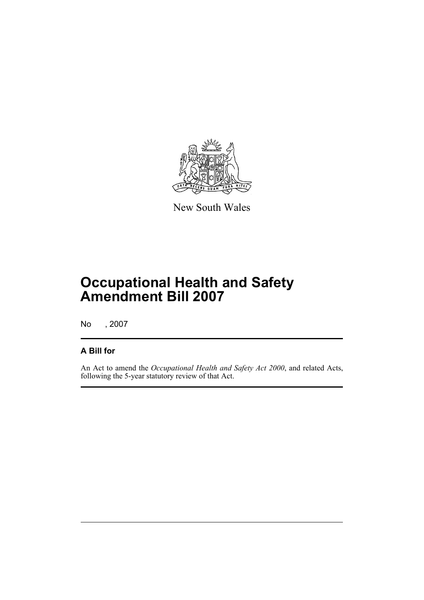

New South Wales

# **Occupational Health and Safety Amendment Bill 2007**

No , 2007

### **A Bill for**

An Act to amend the *Occupational Health and Safety Act 2000*, and related Acts, following the 5-year statutory review of that Act.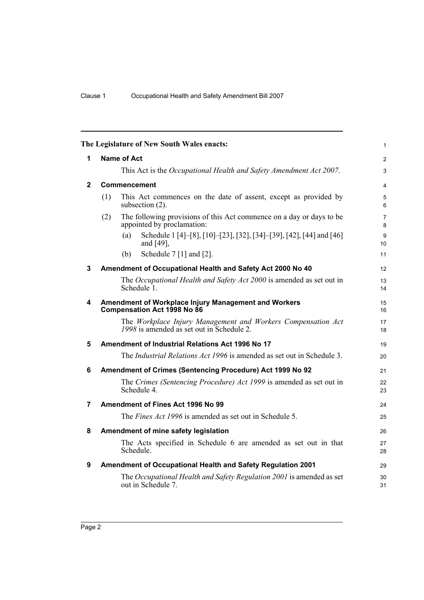<span id="page-11-8"></span><span id="page-11-7"></span><span id="page-11-6"></span><span id="page-11-5"></span><span id="page-11-4"></span><span id="page-11-3"></span><span id="page-11-2"></span><span id="page-11-1"></span><span id="page-11-0"></span>

|             | The Legislature of New South Wales enacts:                                                                | $\mathbf{1}$        |
|-------------|-----------------------------------------------------------------------------------------------------------|---------------------|
| 1           | <b>Name of Act</b>                                                                                        | 2                   |
|             | This Act is the Occupational Health and Safety Amendment Act 2007.                                        | $\mathfrak{S}$      |
| $\mathbf 2$ | Commencement                                                                                              | $\overline{4}$      |
|             | This Act commences on the date of assent, except as provided by<br>(1)<br>subsection (2).                 | 5<br>6              |
|             | (2)<br>The following provisions of this Act commence on a day or days to be<br>appointed by proclamation: | $\overline{7}$<br>8 |
|             | Schedule 1 [4]-[8], [10]-[23], [32], [34]-[39], [42], [44] and [46]<br>(a)<br>and [49],                   | 9<br>10             |
|             | Schedule $7$ [1] and [2].<br>(b)                                                                          | 11                  |
| 3           | Amendment of Occupational Health and Safety Act 2000 No 40                                                | 12                  |
|             | The Occupational Health and Safety Act 2000 is amended as set out in<br>Schedule 1.                       | 13<br>14            |
| 4           | Amendment of Workplace Injury Management and Workers<br>Compensation Act 1998 No 86                       | 15<br>16            |
|             | The Workplace Injury Management and Workers Compensation Act<br>1998 is amended as set out in Schedule 2. | 17<br>18            |
| 5           | Amendment of Industrial Relations Act 1996 No 17                                                          | 19                  |
|             | The <i>Industrial Relations Act 1996</i> is amended as set out in Schedule 3.                             | 20                  |
| 6           | Amendment of Crimes (Sentencing Procedure) Act 1999 No 92                                                 | 21                  |
|             | The Crimes (Sentencing Procedure) Act 1999 is amended as set out in<br>Schedule 4.                        | 22<br>23            |
| 7           | Amendment of Fines Act 1996 No 99                                                                         | 24                  |
|             | The <i>Fines Act 1996</i> is amended as set out in Schedule 5.                                            | 25                  |
| 8           | Amendment of mine safety legislation                                                                      | 26                  |
|             | The Acts specified in Schedule 6 are amended as set out in that<br>Schedule.                              | 27<br>28            |
| 9           | Amendment of Occupational Health and Safety Regulation 2001                                               | 29                  |
|             | The Occupational Health and Safety Regulation 2001 is amended as set<br>out in Schedule 7.                | 30<br>31            |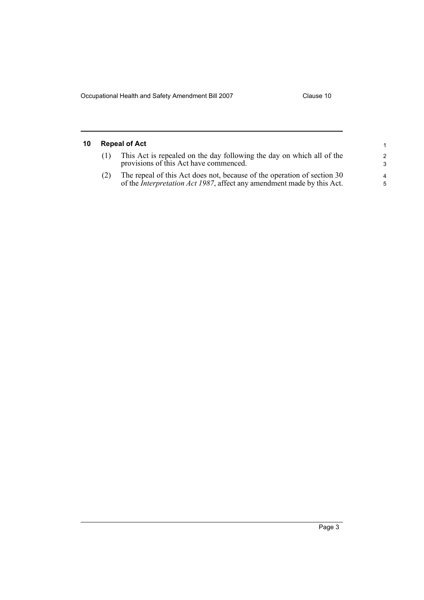<span id="page-12-0"></span>

| 10 | <b>Repeal of Act</b> |                                                                                                                                                           |                    |  |  |
|----|----------------------|-----------------------------------------------------------------------------------------------------------------------------------------------------------|--------------------|--|--|
|    |                      | This Act is repealed on the day following the day on which all of the<br>provisions of this Act have commenced.                                           | $\mathcal{P}$<br>3 |  |  |
|    |                      | The repeal of this Act does not, because of the operation of section 30<br>of the <i>Interpretation Act 1987</i> , affect any amendment made by this Act. | 4<br>5             |  |  |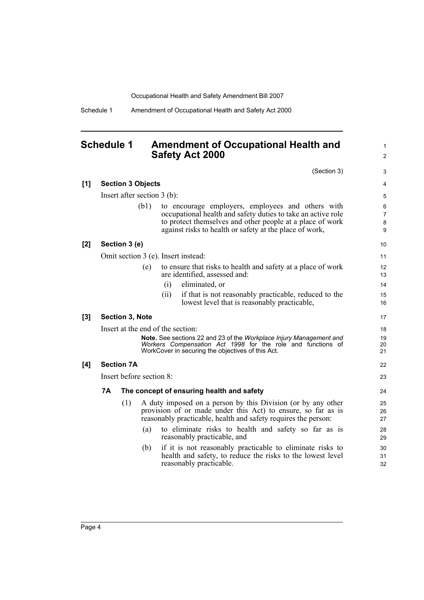Schedule 1 Amendment of Occupational Health and Safety Act 2000

### <span id="page-13-0"></span>**Schedule 1 Amendment of Occupational Health and Safety Act 2000**

(Section 3)

1 2

|     |    |                        |                               |      | (Section 3)                                                                                                                                                                                                                                            | 3                                   |
|-----|----|------------------------|-------------------------------|------|--------------------------------------------------------------------------------------------------------------------------------------------------------------------------------------------------------------------------------------------------------|-------------------------------------|
| [1] |    |                        | <b>Section 3 Objects</b>      |      |                                                                                                                                                                                                                                                        | 4                                   |
|     |    |                        | Insert after section $3$ (b): |      |                                                                                                                                                                                                                                                        | 5                                   |
|     |    |                        | (b1)                          |      | to encourage employers, employees and others with<br>occupational health and safety duties to take an active role<br>to protect themselves and other people at a place of work<br>against risks to health or safety at the place of work,              | 6<br>$\overline{7}$<br>$\bf 8$<br>9 |
| [2] |    | Section 3 (e)          |                               |      |                                                                                                                                                                                                                                                        | 10                                  |
|     |    |                        |                               |      | Omit section 3 (e). Insert instead:                                                                                                                                                                                                                    | 11                                  |
|     |    |                        | (e)                           |      | to ensure that risks to health and safety at a place of work<br>are identified, assessed and:                                                                                                                                                          | 12<br>13                            |
|     |    |                        |                               | (i)  | eliminated, or                                                                                                                                                                                                                                         | 14                                  |
|     |    |                        |                               | (ii) | if that is not reasonably practicable, reduced to the<br>lowest level that is reasonably practicable,                                                                                                                                                  | 15<br>16                            |
| [3] |    | <b>Section 3, Note</b> |                               |      |                                                                                                                                                                                                                                                        | 17                                  |
|     |    |                        |                               |      | Insert at the end of the section:                                                                                                                                                                                                                      | 18                                  |
|     |    |                        |                               |      | Note. See sections 22 and 23 of the Workplace Injury Management and<br>Workers Compensation Act 1998 for the role and functions of<br>WorkCover in securing the objectives of this Act.                                                                | 19<br>20<br>21                      |
| [4] |    | <b>Section 7A</b>      |                               |      |                                                                                                                                                                                                                                                        | 22                                  |
|     |    |                        | Insert before section 8:      |      |                                                                                                                                                                                                                                                        | 23                                  |
|     | 7A |                        |                               |      | The concept of ensuring health and safety                                                                                                                                                                                                              | 24                                  |
|     |    | (1)                    | (a)                           |      | A duty imposed on a person by this Division (or by any other<br>provision of or made under this Act) to ensure, so far as is<br>reasonably practicable, health and safety requires the person:<br>to eliminate risks to health and safety so far as is | 25<br>26<br>27<br>28                |
|     |    |                        |                               |      | reasonably practicable, and                                                                                                                                                                                                                            | 29                                  |
|     |    |                        | (b)                           |      | if it is not reasonably practicable to eliminate risks to<br>health and safety, to reduce the risks to the lowest level<br>reasonably practicable.                                                                                                     | 30<br>31<br>32                      |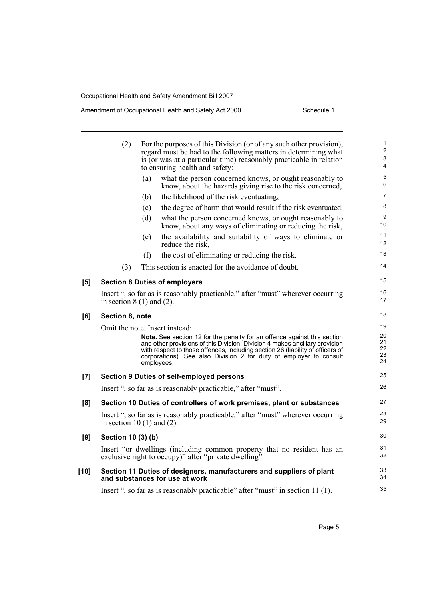#### Amendment of Occupational Health and Safety Act 2000 Schedule 1

|        | (2)                             |     | For the purposes of this Division (or of any such other provision),<br>regard must be had to the following matters in determining what<br>is (or was at a particular time) reasonably practicable in relation<br>to ensuring health and safety:                                                                               | $\mathbf{1}$<br>$\overline{2}$<br>$\ensuremath{\mathsf{3}}$<br>4 |
|--------|---------------------------------|-----|-------------------------------------------------------------------------------------------------------------------------------------------------------------------------------------------------------------------------------------------------------------------------------------------------------------------------------|------------------------------------------------------------------|
|        |                                 | (a) | what the person concerned knows, or ought reasonably to<br>know, about the hazards giving rise to the risk concerned,                                                                                                                                                                                                         | 5<br>6                                                           |
|        |                                 | (b) | the likelihood of the risk eventuating,                                                                                                                                                                                                                                                                                       | $\overline{7}$                                                   |
|        |                                 | (c) | the degree of harm that would result if the risk eventuated,                                                                                                                                                                                                                                                                  | 8                                                                |
|        |                                 | (d) | what the person concerned knows, or ought reasonably to<br>know, about any ways of eliminating or reducing the risk,                                                                                                                                                                                                          | 9<br>10                                                          |
|        |                                 | (e) | the availability and suitability of ways to eliminate or<br>reduce the risk,                                                                                                                                                                                                                                                  | 11<br>12                                                         |
|        |                                 | (f) | the cost of eliminating or reducing the risk.                                                                                                                                                                                                                                                                                 | 13                                                               |
|        | (3)                             |     | This section is enacted for the avoidance of doubt.                                                                                                                                                                                                                                                                           | 14                                                               |
| [5]    |                                 |     | <b>Section 8 Duties of employers</b>                                                                                                                                                                                                                                                                                          | 15                                                               |
|        | in section $8(1)$ and $(2)$ .   |     | Insert ", so far as is reasonably practicable," after "must" wherever occurring                                                                                                                                                                                                                                               | 16<br>17                                                         |
| [6]    | Section 8, note                 |     |                                                                                                                                                                                                                                                                                                                               | 18                                                               |
|        | Omit the note. Insert instead:  |     |                                                                                                                                                                                                                                                                                                                               | 19                                                               |
|        |                                 |     | Note. See section 12 for the penalty for an offence against this section<br>and other provisions of this Division. Division 4 makes ancillary provision<br>with respect to those offences, including section 26 (liability of officers of<br>corporations). See also Division 2 for duty of employer to consult<br>employees. | 20<br>21<br>22<br>23<br>24                                       |
| [7]    |                                 |     | Section 9 Duties of self-employed persons                                                                                                                                                                                                                                                                                     | 25                                                               |
|        |                                 |     | Insert ", so far as is reasonably practicable," after "must".                                                                                                                                                                                                                                                                 | 26                                                               |
| [8]    |                                 |     | Section 10 Duties of controllers of work premises, plant or substances                                                                                                                                                                                                                                                        | 27                                                               |
|        | in section 10 $(1)$ and $(2)$ . |     | Insert ", so far as is reasonably practicable," after "must" wherever occurring                                                                                                                                                                                                                                               | 28<br>29                                                         |
| [9]    | Section 10 (3) (b)              |     |                                                                                                                                                                                                                                                                                                                               | 30                                                               |
|        |                                 |     | Insert "or dwellings (including common property that no resident has an<br>exclusive right to occupy)" after "private dwelling".                                                                                                                                                                                              | 31<br>32                                                         |
| $[10]$ |                                 |     | Section 11 Duties of designers, manufacturers and suppliers of plant<br>and substances for use at work                                                                                                                                                                                                                        | 33<br>34                                                         |
|        |                                 |     | Insert ", so far as is reasonably practicable" after "must" in section 11 (1).                                                                                                                                                                                                                                                | 35                                                               |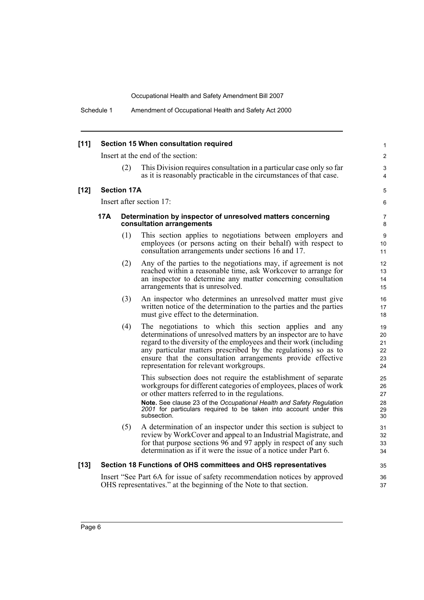| $[11]$ |     |                    | Section 15 When consultation required                                                                                                                                                                                                                                                                                                                                        | $\mathbf{1}$                     |
|--------|-----|--------------------|------------------------------------------------------------------------------------------------------------------------------------------------------------------------------------------------------------------------------------------------------------------------------------------------------------------------------------------------------------------------------|----------------------------------|
|        |     |                    | Insert at the end of the section:                                                                                                                                                                                                                                                                                                                                            | $\overline{2}$                   |
|        |     | (2)                | This Division requires consultation in a particular case only so far<br>as it is reasonably practicable in the circumstances of that case.                                                                                                                                                                                                                                   | 3<br>4                           |
| $[12]$ |     | <b>Section 17A</b> |                                                                                                                                                                                                                                                                                                                                                                              | 5                                |
|        |     |                    | Insert after section 17:                                                                                                                                                                                                                                                                                                                                                     | 6                                |
|        | 17A |                    | Determination by inspector of unresolved matters concerning<br>consultation arrangements                                                                                                                                                                                                                                                                                     | 7<br>8                           |
|        |     | (1)                | This section applies to negotiations between employers and<br>employees (or persons acting on their behalf) with respect to<br>consultation arrangements under sections 16 and 17.                                                                                                                                                                                           | 9<br>10<br>11                    |
|        |     | (2)                | Any of the parties to the negotiations may, if agreement is not<br>reached within a reasonable time, ask Workcover to arrange for<br>an inspector to determine any matter concerning consultation<br>arrangements that is unresolved.                                                                                                                                        | 12<br>13<br>14<br>15             |
|        |     | (3)                | An inspector who determines an unresolved matter must give<br>written notice of the determination to the parties and the parties<br>must give effect to the determination.                                                                                                                                                                                                   | 16<br>17<br>18                   |
|        |     | (4)                | The negotiations to which this section applies and any<br>determinations of unresolved matters by an inspector are to have<br>regard to the diversity of the employees and their work (including<br>any particular matters prescribed by the regulations) so as to<br>ensure that the consultation arrangements provide effective<br>representation for relevant workgroups. | 19<br>20<br>21<br>22<br>23<br>24 |
|        |     |                    | This subsection does not require the establishment of separate<br>workgroups for different categories of employees, places of work<br>or other matters referred to in the regulations.<br>Note. See clause 23 of the Occupational Health and Safety Regulation<br>2001 for particulars required to be taken into account under this<br>subsection.                           | 25<br>26<br>27<br>28<br>29<br>30 |
|        |     | (5)                | A determination of an inspector under this section is subject to<br>review by WorkCover and appeal to an Industrial Magistrate, and<br>for that purpose sections 96 and 97 apply in respect of any such<br>determination as if it were the issue of a notice under Part 6.                                                                                                   | 31<br>32<br>33<br>34             |
| $[13]$ |     |                    | Section 18 Functions of OHS committees and OHS representatives                                                                                                                                                                                                                                                                                                               | 35                               |
|        |     |                    | Insert "See Part 6A for issue of safety recommendation notices by approved<br>OHS representatives." at the beginning of the Note to that section.                                                                                                                                                                                                                            | 36<br>37                         |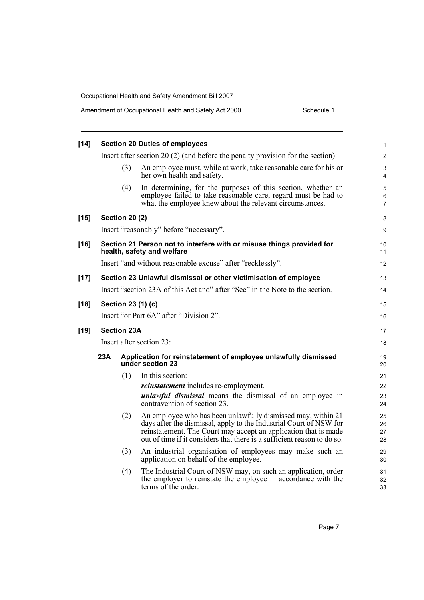| $[14]$ |                                                                              |                       | <b>Section 20 Duties of employees</b>                                                                                                                                                                                                                                            | $\mathbf{1}$                   |  |  |
|--------|------------------------------------------------------------------------------|-----------------------|----------------------------------------------------------------------------------------------------------------------------------------------------------------------------------------------------------------------------------------------------------------------------------|--------------------------------|--|--|
|        |                                                                              |                       | Insert after section 20 $(2)$ (and before the penalty provision for the section):                                                                                                                                                                                                | $\overline{2}$                 |  |  |
|        |                                                                              | (3)                   | An employee must, while at work, take reasonable care for his or<br>her own health and safety.                                                                                                                                                                                   | 3<br>$\overline{4}$            |  |  |
|        |                                                                              | (4)                   | In determining, for the purposes of this section, whether an<br>employee failed to take reasonable care, regard must be had to<br>what the employee knew about the relevant circumstances.                                                                                       | 5<br>$\,6\,$<br>$\overline{7}$ |  |  |
| $[15]$ |                                                                              | <b>Section 20 (2)</b> |                                                                                                                                                                                                                                                                                  | 8                              |  |  |
|        |                                                                              |                       | Insert "reasonably" before "necessary".                                                                                                                                                                                                                                          | 9                              |  |  |
| $[16]$ |                                                                              |                       | Section 21 Person not to interfere with or misuse things provided for<br>health, safety and welfare                                                                                                                                                                              | 10<br>11                       |  |  |
|        |                                                                              |                       | Insert "and without reasonable excuse" after "recklessly".                                                                                                                                                                                                                       | 12                             |  |  |
| $[17]$ |                                                                              |                       | Section 23 Unlawful dismissal or other victimisation of employee                                                                                                                                                                                                                 | 13                             |  |  |
|        | Insert "section 23A of this Act and" after "See" in the Note to the section. |                       |                                                                                                                                                                                                                                                                                  |                                |  |  |
| $[18]$ |                                                                              |                       | Section 23 (1) (c)                                                                                                                                                                                                                                                               | 15                             |  |  |
|        |                                                                              |                       | Insert "or Part 6A" after "Division 2".                                                                                                                                                                                                                                          | 16                             |  |  |
| $[19]$ | <b>Section 23A</b>                                                           |                       |                                                                                                                                                                                                                                                                                  |                                |  |  |
|        | Insert after section 23:                                                     |                       |                                                                                                                                                                                                                                                                                  |                                |  |  |
|        | 23A                                                                          |                       | Application for reinstatement of employee unlawfully dismissed<br>under section 23                                                                                                                                                                                               | 19<br>20                       |  |  |
|        |                                                                              | (1)                   | In this section:                                                                                                                                                                                                                                                                 | 21                             |  |  |
|        |                                                                              |                       | <i>reinstatement</i> includes re-employment.                                                                                                                                                                                                                                     | 22                             |  |  |
|        |                                                                              |                       | <i>unlawful dismissal</i> means the dismissal of an employee in<br>contravention of section 23.                                                                                                                                                                                  | 23<br>24                       |  |  |
|        |                                                                              | (2)                   | An employee who has been unlawfully dismissed may, within 21<br>days after the dismissal, apply to the Industrial Court of NSW for<br>reinstatement. The Court may accept an application that is made<br>out of time if it considers that there is a sufficient reason to do so. | 25<br>26<br>27<br>28           |  |  |
|        |                                                                              | (3)                   | An industrial organisation of employees may make such an<br>application on behalf of the employee.                                                                                                                                                                               | 29<br>30                       |  |  |
|        |                                                                              | (4)                   | The Industrial Court of NSW may, on such an application, order<br>the employer to reinstate the employee in accordance with the<br>terms of the order.                                                                                                                           | 31<br>32<br>33                 |  |  |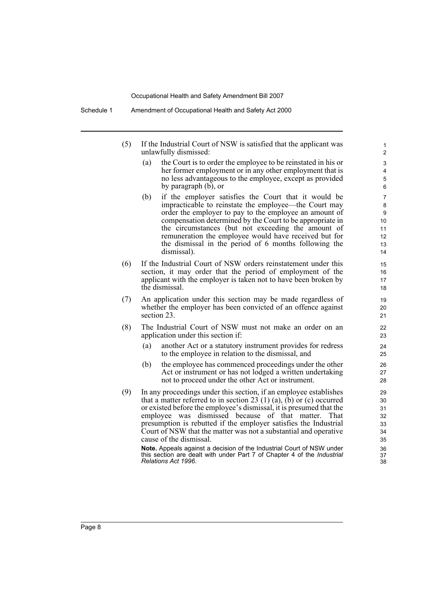- (5) If the Industrial Court of NSW is satisfied that the applicant was unlawfully dismissed:
	- (a) the Court is to order the employee to be reinstated in his or her former employment or in any other employment that is no less advantageous to the employee, except as provided by paragraph (b), or

- (b) if the employer satisfies the Court that it would be impracticable to reinstate the employee—the Court may order the employer to pay to the employee an amount of compensation determined by the Court to be appropriate in the circumstances (but not exceeding the amount of remuneration the employee would have received but for the dismissal in the period of 6 months following the dismissal).
- (6) If the Industrial Court of NSW orders reinstatement under this section, it may order that the period of employment of the applicant with the employer is taken not to have been broken by the dismissal.
- (7) An application under this section may be made regardless of whether the employer has been convicted of an offence against section 23.
- (8) The Industrial Court of NSW must not make an order on an application under this section if:
	- (a) another Act or a statutory instrument provides for redress to the employee in relation to the dismissal, and
	- (b) the employee has commenced proceedings under the other Act or instrument or has not lodged a written undertaking not to proceed under the other Act or instrument.
- (9) In any proceedings under this section, if an employee establishes that a matter referred to in section 23  $(1)$   $(a)$ ,  $(b)$  or  $(c)$  occurred or existed before the employee's dismissal, it is presumed that the employee was dismissed because of that matter. That presumption is rebutted if the employer satisfies the Industrial Court of NSW that the matter was not a substantial and operative cause of the dismissal.

**Note.** Appeals against a decision of the Industrial Court of NSW under this section are dealt with under Part 7 of Chapter 4 of the *Industrial Relations Act 1996*.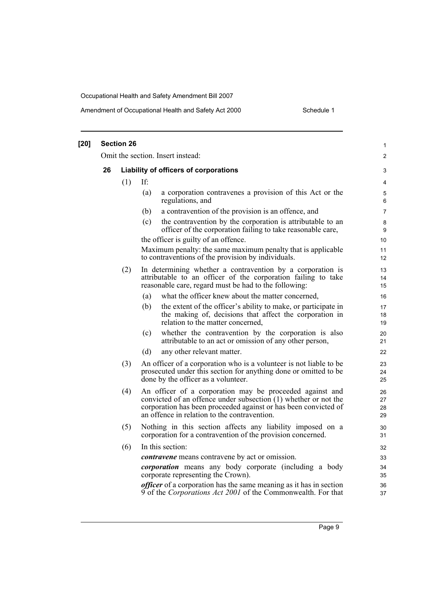#### Amendment of Occupational Health and Safety Act 2000 Schedule 1

| $[20]$ |    | <b>Section 26</b> |     |                                                                                                                                                                                                                                                | 1                    |
|--------|----|-------------------|-----|------------------------------------------------------------------------------------------------------------------------------------------------------------------------------------------------------------------------------------------------|----------------------|
|        |    |                   |     | Omit the section. Insert instead:                                                                                                                                                                                                              | $\overline{2}$       |
|        | 26 |                   |     | Liability of officers of corporations                                                                                                                                                                                                          | 3                    |
|        |    | (1)               | If: |                                                                                                                                                                                                                                                | 4                    |
|        |    |                   | (a) | a corporation contravenes a provision of this Act or the<br>regulations, and                                                                                                                                                                   | 5<br>6               |
|        |    |                   | (b) | a contravention of the provision is an offence, and                                                                                                                                                                                            | $\overline{7}$       |
|        |    |                   | (c) | the contravention by the corporation is attributable to an<br>officer of the corporation failing to take reasonable care,                                                                                                                      | 8<br>9               |
|        |    |                   |     | the officer is guilty of an offence.                                                                                                                                                                                                           | 10                   |
|        |    |                   |     | Maximum penalty: the same maximum penalty that is applicable<br>to contraventions of the provision by individuals.                                                                                                                             | 11<br>12             |
|        |    | (2)               |     | In determining whether a contravention by a corporation is<br>attributable to an officer of the corporation failing to take<br>reasonable care, regard must be had to the following:                                                           | 13<br>14<br>15       |
|        |    |                   | (a) | what the officer knew about the matter concerned,                                                                                                                                                                                              | 16                   |
|        |    |                   | (b) | the extent of the officer's ability to make, or participate in<br>the making of, decisions that affect the corporation in<br>relation to the matter concerned,                                                                                 | $17\,$<br>18<br>19   |
|        |    |                   | (c) | whether the contravention by the corporation is also<br>attributable to an act or omission of any other person,                                                                                                                                | 20<br>21             |
|        |    |                   | (d) | any other relevant matter.                                                                                                                                                                                                                     | 22                   |
|        |    | (3)               |     | An officer of a corporation who is a volunteer is not liable to be<br>prosecuted under this section for anything done or omitted to be<br>done by the officer as a volunteer.                                                                  | 23<br>24<br>25       |
|        |    | (4)               |     | An officer of a corporation may be proceeded against and<br>convicted of an offence under subsection (1) whether or not the<br>corporation has been proceeded against or has been convicted of<br>an offence in relation to the contravention. | 26<br>27<br>28<br>29 |
|        |    | (5)               |     | Nothing in this section affects any liability imposed on a<br>corporation for a contravention of the provision concerned.                                                                                                                      | 30<br>31             |
|        |    | (6)               |     | In this section:                                                                                                                                                                                                                               | 32                   |
|        |    |                   |     | <i>contravene</i> means contravene by act or omission.                                                                                                                                                                                         | 33                   |
|        |    |                   |     | <i>corporation</i> means any body corporate (including a body<br>corporate representing the Crown).                                                                                                                                            | 34<br>35             |
|        |    |                   |     | <i>officer</i> of a corporation has the same meaning as it has in section<br>9 of the Corporations Act 2001 of the Commonwealth. For that                                                                                                      | 36<br>37             |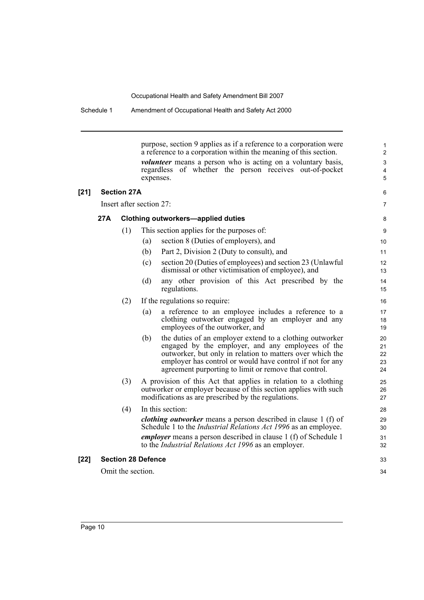purpose, section 9 applies as if a reference to a corporation were a reference to a corporation within the meaning of this section. *volunteer* means a person who is acting on a voluntary basis, regardless of whether the person receives out-of-pocket expenses. **[21] Section 27A** Insert after section 27: **27A Clothing outworkers—applied duties** (1) This section applies for the purposes of: (a) section 8 (Duties of employers), and (b) Part 2, Division 2 (Duty to consult), and (c) section 20 (Duties of employees) and section 23 (Unlawful dismissal or other victimisation of employee), and (d) any other provision of this Act prescribed by the regulations. (2) If the regulations so require: (a) a reference to an employee includes a reference to a clothing outworker engaged by an employer and any employees of the outworker, and (b) the duties of an employer extend to a clothing outworker engaged by the employer, and any employees of the outworker, but only in relation to matters over which the employer has control or would have control if not for any agreement purporting to limit or remove that control. (3) A provision of this Act that applies in relation to a clothing outworker or employer because of this section applies with such modifications as are prescribed by the regulations. (4) In this section: *clothing outworker* means a person described in clause 1 (f) of Schedule 1 to the *Industrial Relations Act 1996* as an employee. *employer* means a person described in clause 1 (f) of Schedule 1 to the *Industrial Relations Act 1996* as an employer. **[22] Section 28 Defence** Omit the section. 1 2 3 4 5 6 7 8 9 10 11 12 13 14 15 16 17 18 19 20 21 22 23 24 25 26 27 28 29 30 31 32 33 34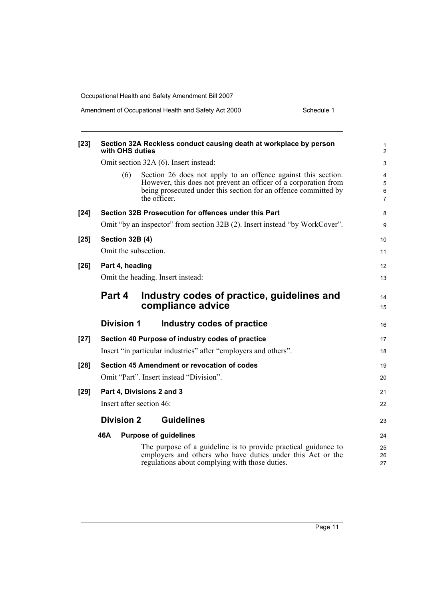| $[23]$ | Section 32A Reckless conduct causing death at workplace by person<br>with OHS duties                                                                                                                                       | 1<br>$\overline{2}$           |
|--------|----------------------------------------------------------------------------------------------------------------------------------------------------------------------------------------------------------------------------|-------------------------------|
|        | Omit section 32A (6). Insert instead:                                                                                                                                                                                      | 3                             |
|        | Section 26 does not apply to an offence against this section.<br>(6)<br>However, this does not prevent an officer of a corporation from<br>being prosecuted under this section for an offence committed by<br>the officer. | 4<br>5<br>6<br>$\overline{7}$ |
| $[24]$ | Section 32B Prosecution for offences under this Part                                                                                                                                                                       | 8                             |
|        | Omit "by an inspector" from section 32B (2). Insert instead "by WorkCover".                                                                                                                                                | 9                             |
| $[25]$ | <b>Section 32B (4)</b>                                                                                                                                                                                                     | 10                            |
|        | Omit the subsection.                                                                                                                                                                                                       | 11                            |
| $[26]$ | Part 4, heading                                                                                                                                                                                                            | 12                            |
|        | Omit the heading. Insert instead:                                                                                                                                                                                          | 13                            |
|        | Part 4<br>Industry codes of practice, guidelines and<br>compliance advice                                                                                                                                                  | 14<br>15                      |
|        | <b>Division 1</b><br>Industry codes of practice                                                                                                                                                                            | 16                            |
| $[27]$ | Section 40 Purpose of industry codes of practice                                                                                                                                                                           | 17                            |
|        | Insert "in particular industries" after "employers and others".                                                                                                                                                            | 18                            |
| $[28]$ | Section 45 Amendment or revocation of codes                                                                                                                                                                                | 19                            |
|        | Omit "Part". Insert instead "Division".                                                                                                                                                                                    | 20                            |
| $[29]$ | Part 4, Divisions 2 and 3                                                                                                                                                                                                  | 21                            |
|        | Insert after section 46:                                                                                                                                                                                                   | 22                            |
|        | <b>Division 2</b><br><b>Guidelines</b>                                                                                                                                                                                     | 23                            |
|        | 46A<br><b>Purpose of guidelines</b>                                                                                                                                                                                        | 24                            |
|        | The purpose of a guideline is to provide practical guidance to<br>employers and others who have duties under this Act or the<br>regulations about complying with those duties.                                             | 25<br>26<br>27                |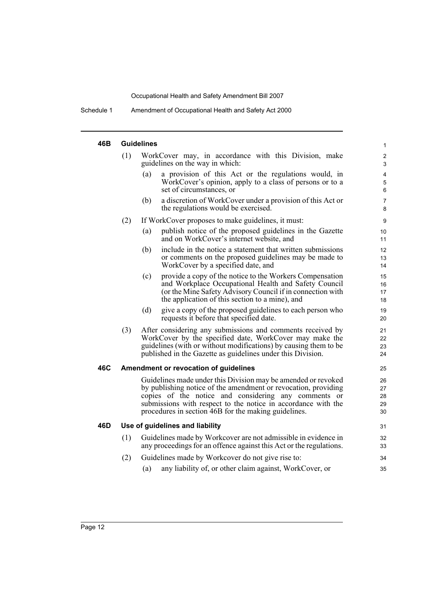Schedule 1 Amendment of Occupational Health and Safety Act 2000

#### **46B Guidelines**

| 46B |     | Guidelines                                                                                                                                                                                                                                                                                                       | 1                                              |
|-----|-----|------------------------------------------------------------------------------------------------------------------------------------------------------------------------------------------------------------------------------------------------------------------------------------------------------------------|------------------------------------------------|
|     | (1) | WorkCover may, in accordance with this Division, make<br>guidelines on the way in which:                                                                                                                                                                                                                         | $\overline{c}$<br>$\mathsf 3$                  |
|     |     | (a)<br>a provision of this Act or the regulations would, in<br>WorkCover's opinion, apply to a class of persons or to a<br>set of circumstances, or                                                                                                                                                              | $\overline{\mathbf{4}}$<br>$\overline{5}$<br>6 |
|     |     | a discretion of WorkCover under a provision of this Act or<br>(b)<br>the regulations would be exercised.                                                                                                                                                                                                         | $\overline{7}$<br>8                            |
|     | (2) | If WorkCover proposes to make guidelines, it must:                                                                                                                                                                                                                                                               | $\boldsymbol{9}$                               |
|     |     | publish notice of the proposed guidelines in the Gazette<br>(a)<br>and on WorkCover's internet website, and                                                                                                                                                                                                      | 10<br>11                                       |
|     |     | (b)<br>include in the notice a statement that written submissions<br>or comments on the proposed guidelines may be made to<br>WorkCover by a specified date, and                                                                                                                                                 | 12<br>13<br>14                                 |
|     |     | provide a copy of the notice to the Workers Compensation<br>(c)<br>and Workplace Occupational Health and Safety Council<br>(or the Mine Safety Advisory Council if in connection with<br>the application of this section to a mine), and                                                                         | 15<br>16<br>17<br>18                           |
|     |     | (d)<br>give a copy of the proposed guidelines to each person who<br>requests it before that specified date.                                                                                                                                                                                                      | 19<br>20                                       |
|     | (3) | After considering any submissions and comments received by<br>WorkCover by the specified date, WorkCover may make the<br>guidelines (with or without modifications) by causing them to be<br>published in the Gazette as guidelines under this Division.                                                         | 21<br>22<br>23<br>24                           |
| 46C |     | Amendment or revocation of guidelines                                                                                                                                                                                                                                                                            | 25                                             |
|     |     | Guidelines made under this Division may be amended or revoked<br>by publishing notice of the amendment or revocation, providing<br>copies of the notice and considering any comments or<br>submissions with respect to the notice in accordance with the<br>procedures in section 46B for the making guidelines. | 26<br>27<br>28<br>29<br>30                     |
| 46D |     | Use of guidelines and liability                                                                                                                                                                                                                                                                                  | 31                                             |
|     | (1) | Guidelines made by Workcover are not admissible in evidence in<br>any proceedings for an offence against this Act or the regulations.                                                                                                                                                                            | 32<br>33                                       |
|     | (2) | Guidelines made by Workcover do not give rise to:                                                                                                                                                                                                                                                                | 34                                             |
|     |     | any liability of, or other claim against, WorkCover, or<br>(a)                                                                                                                                                                                                                                                   | 35                                             |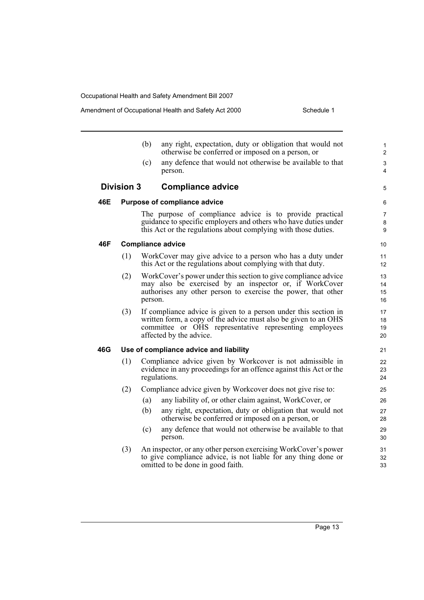|     |                   |         | Schedule 1<br>Amendment of Occupational Health and Safety Act 2000                                                                                                                                                      |                                |
|-----|-------------------|---------|-------------------------------------------------------------------------------------------------------------------------------------------------------------------------------------------------------------------------|--------------------------------|
|     |                   | (b)     | any right, expectation, duty or obligation that would not<br>otherwise be conferred or imposed on a person, or                                                                                                          | $\mathbf{1}$<br>$\overline{2}$ |
|     |                   | (c)     | any defence that would not otherwise be available to that<br>person.                                                                                                                                                    | 3<br>4                         |
|     | <b>Division 3</b> |         | <b>Compliance advice</b>                                                                                                                                                                                                | 5                              |
| 46E |                   |         | <b>Purpose of compliance advice</b>                                                                                                                                                                                     | 6                              |
|     |                   |         | The purpose of compliance advice is to provide practical<br>guidance to specific employers and others who have duties under<br>this Act or the regulations about complying with those duties.                           | $\overline{7}$<br>8<br>9       |
| 46F |                   |         | <b>Compliance advice</b>                                                                                                                                                                                                | 10                             |
|     | (1)               |         | WorkCover may give advice to a person who has a duty under<br>this Act or the regulations about complying with that duty.                                                                                               | 11<br>12                       |
|     | (2)               | person. | WorkCover's power under this section to give compliance advice<br>may also be exercised by an inspector or, if WorkCover<br>authorises any other person to exercise the power, that other                               | 13<br>14<br>15<br>16           |
|     | (3)               |         | If compliance advice is given to a person under this section in<br>written form, a copy of the advice must also be given to an OHS<br>committee or OHS representative representing employees<br>affected by the advice. | 17<br>18<br>19<br>20           |
| 46G |                   |         | Use of compliance advice and liability                                                                                                                                                                                  | 21                             |
|     | (1)               |         | Compliance advice given by Workcover is not admissible in<br>evidence in any proceedings for an offence against this Act or the<br>regulations.                                                                         | 22<br>23<br>24                 |
|     | (2)               |         | Compliance advice given by Workcover does not give rise to:                                                                                                                                                             | 25                             |
|     |                   | (a)     | any liability of, or other claim against, WorkCover, or                                                                                                                                                                 | 26                             |
|     |                   | (b)     | any right, expectation, duty or obligation that would not<br>otherwise be conferred or imposed on a person, or                                                                                                          | 27<br>28                       |
|     |                   | (c)     | any defence that would not otherwise be available to that<br>person.                                                                                                                                                    | 29<br>30                       |
|     | (3)               |         | An inspector, or any other person exercising WorkCover's power<br>to give compliance advice, is not liable for any thing done or<br>omitted to be done in good faith.                                                   | 31<br>32<br>33                 |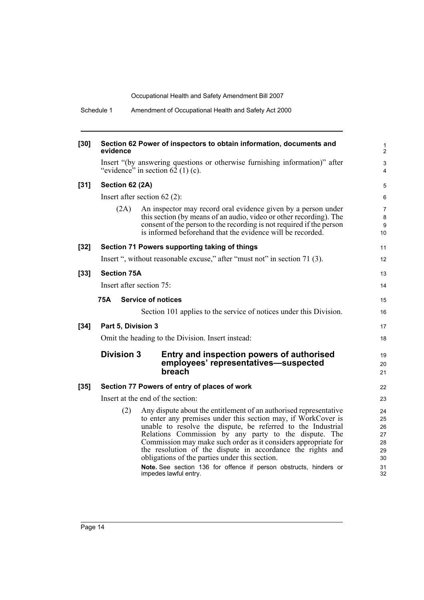| $[30]$ | evidence                 | Section 62 Power of inspectors to obtain information, documents and                                                                                                                                                                                                                                                                                                                                                                                                                                                                         | 1<br>2                                             |
|--------|--------------------------|---------------------------------------------------------------------------------------------------------------------------------------------------------------------------------------------------------------------------------------------------------------------------------------------------------------------------------------------------------------------------------------------------------------------------------------------------------------------------------------------------------------------------------------------|----------------------------------------------------|
|        |                          | Insert "(by answering questions or otherwise furnishing information)" after<br>"evidence" in section $62$ (1) (c).                                                                                                                                                                                                                                                                                                                                                                                                                          | $\mathfrak{S}$<br>4                                |
| $[31]$ | Section 62 (2A)          |                                                                                                                                                                                                                                                                                                                                                                                                                                                                                                                                             | 5                                                  |
|        |                          | Insert after section $62(2)$ :                                                                                                                                                                                                                                                                                                                                                                                                                                                                                                              | 6                                                  |
|        | (2A)                     | An inspector may record oral evidence given by a person under<br>this section (by means of an audio, video or other recording). The<br>consent of the person to the recording is not required if the person<br>is informed beforehand that the evidence will be recorded.                                                                                                                                                                                                                                                                   | 7<br>8<br>9<br>10                                  |
| $[32]$ |                          | Section 71 Powers supporting taking of things                                                                                                                                                                                                                                                                                                                                                                                                                                                                                               | 11                                                 |
|        |                          | Insert ", without reasonable excuse," after "must not" in section 71 (3).                                                                                                                                                                                                                                                                                                                                                                                                                                                                   | 12                                                 |
| $[33]$ | <b>Section 75A</b>       |                                                                                                                                                                                                                                                                                                                                                                                                                                                                                                                                             | 13                                                 |
|        | Insert after section 75: |                                                                                                                                                                                                                                                                                                                                                                                                                                                                                                                                             | 14                                                 |
|        | <b>75A</b>               | <b>Service of notices</b>                                                                                                                                                                                                                                                                                                                                                                                                                                                                                                                   | 15                                                 |
|        |                          | Section 101 applies to the service of notices under this Division.                                                                                                                                                                                                                                                                                                                                                                                                                                                                          | 16                                                 |
| $[34]$ | Part 5, Division 3       |                                                                                                                                                                                                                                                                                                                                                                                                                                                                                                                                             | 17                                                 |
|        |                          | Omit the heading to the Division. Insert instead:                                                                                                                                                                                                                                                                                                                                                                                                                                                                                           | 18                                                 |
|        | <b>Division 3</b>        | Entry and inspection powers of authorised<br>employees' representatives-suspected<br>breach                                                                                                                                                                                                                                                                                                                                                                                                                                                 | 19<br>20<br>21                                     |
| $[35]$ |                          | Section 77 Powers of entry of places of work                                                                                                                                                                                                                                                                                                                                                                                                                                                                                                | 22                                                 |
|        |                          | Insert at the end of the section:                                                                                                                                                                                                                                                                                                                                                                                                                                                                                                           | 23                                                 |
|        | (2)                      | Any dispute about the entitlement of an authorised representative<br>to enter any premises under this section may, if WorkCover is<br>unable to resolve the dispute, be referred to the Industrial<br>Relations Commission by any party to the dispute. The<br>Commission may make such order as it considers appropriate for<br>the resolution of the dispute in accordance the rights and<br>obligations of the parties under this section.<br>Note. See section 136 for offence if person obstructs, hinders or<br>impedes lawful entry. | 24<br>25<br>26<br>27<br>28<br>29<br>30<br>31<br>32 |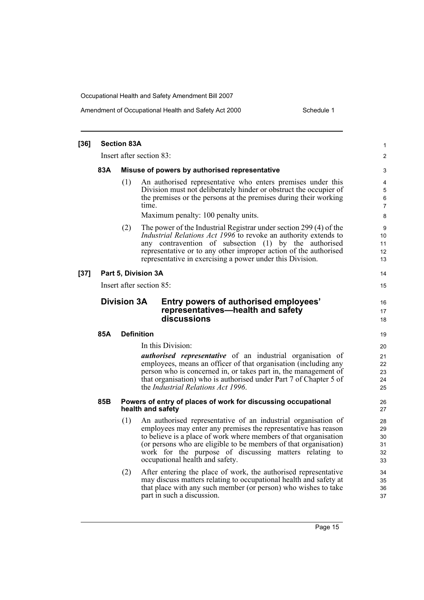| $[36]$ | <b>Section 83A</b>                                                                                              |                                               |                                                                                                                                                                                                                                                                                                                                                                      |                                  |  |  |  |
|--------|-----------------------------------------------------------------------------------------------------------------|-----------------------------------------------|----------------------------------------------------------------------------------------------------------------------------------------------------------------------------------------------------------------------------------------------------------------------------------------------------------------------------------------------------------------------|----------------------------------|--|--|--|
|        |                                                                                                                 |                                               | Insert after section 83:                                                                                                                                                                                                                                                                                                                                             | 2                                |  |  |  |
|        | 83A                                                                                                             | Misuse of powers by authorised representative |                                                                                                                                                                                                                                                                                                                                                                      |                                  |  |  |  |
|        |                                                                                                                 | (1)                                           | An authorised representative who enters premises under this<br>Division must not deliberately hinder or obstruct the occupier of<br>the premises or the persons at the premises during their working<br>time.<br>Maximum penalty: 100 penalty units.                                                                                                                 | 4<br>5<br>6<br>7<br>8            |  |  |  |
|        |                                                                                                                 | (2)                                           | The power of the Industrial Registrar under section 299 (4) of the<br><i>Industrial Relations Act 1996</i> to revoke an authority extends to<br>any contravention of subsection (1) by the authorised<br>representative or to any other improper action of the authorised<br>representative in exercising a power under this Division.                               | 9<br>10<br>11<br>12<br>13        |  |  |  |
| $[37]$ |                                                                                                                 |                                               | Part 5, Division 3A                                                                                                                                                                                                                                                                                                                                                  | 14                               |  |  |  |
|        |                                                                                                                 |                                               | Insert after section 85:                                                                                                                                                                                                                                                                                                                                             | 15                               |  |  |  |
|        | <b>Division 3A</b><br>Entry powers of authorised employees'<br>representatives—health and safety<br>discussions |                                               |                                                                                                                                                                                                                                                                                                                                                                      |                                  |  |  |  |
|        | 85A                                                                                                             |                                               | <b>Definition</b>                                                                                                                                                                                                                                                                                                                                                    | 19                               |  |  |  |
|        |                                                                                                                 |                                               | In this Division:<br><i>authorised representative</i> of an industrial organisation of<br>employees, means an officer of that organisation (including any<br>person who is concerned in, or takes part in, the management of<br>that organisation) who is authorised under Part 7 of Chapter 5 of<br>the <i>Industrial Relations Act 1996</i> .                      | 20<br>21<br>22<br>23<br>24<br>25 |  |  |  |
|        | 85B                                                                                                             |                                               | Powers of entry of places of work for discussing occupational<br>health and safety                                                                                                                                                                                                                                                                                   | 26<br>27                         |  |  |  |
|        |                                                                                                                 | (1)                                           | An authorised representative of an industrial organisation of<br>employees may enter any premises the representative has reason<br>to believe is a place of work where members of that organisation<br>(or persons who are eligible to be members of that organisation)<br>work for the purpose of discussing matters relating to<br>occupational health and safety. | 28<br>29<br>30<br>31<br>32<br>33 |  |  |  |
|        |                                                                                                                 | (2)                                           | After entering the place of work, the authorised representative<br>may discuss matters relating to occupational health and safety at<br>that place with any such member (or person) who wishes to take<br>part in such a discussion.                                                                                                                                 | 34<br>35<br>36<br>37             |  |  |  |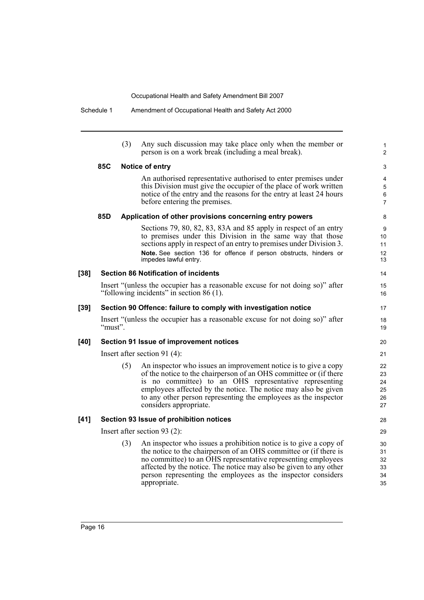|        |         | (3) | Any such discussion may take place only when the member or<br>person is on a work break (including a meal break).                                                                                                                                                                                                                                             | 1<br>2                                              |
|--------|---------|-----|---------------------------------------------------------------------------------------------------------------------------------------------------------------------------------------------------------------------------------------------------------------------------------------------------------------------------------------------------------------|-----------------------------------------------------|
|        | 85C     |     | Notice of entry                                                                                                                                                                                                                                                                                                                                               | 3                                                   |
|        |         |     | An authorised representative authorised to enter premises under<br>this Division must give the occupier of the place of work written<br>notice of the entry and the reasons for the entry at least 24 hours<br>before entering the premises.                                                                                                                  | $\overline{4}$<br>$\sqrt{5}$<br>6<br>$\overline{7}$ |
|        | 85D     |     | Application of other provisions concerning entry powers                                                                                                                                                                                                                                                                                                       | 8                                                   |
|        |         |     | Sections 79, 80, 82, 83, 83A and 85 apply in respect of an entry<br>to premises under this Division in the same way that those<br>sections apply in respect of an entry to premises under Division 3.<br>Note. See section 136 for offence if person obstructs, hinders or<br>impedes lawful entry.                                                           | 9<br>10<br>11<br>12<br>13                           |
| $[38]$ |         |     | <b>Section 86 Notification of incidents</b>                                                                                                                                                                                                                                                                                                                   | 14                                                  |
|        |         |     | Insert "(unless the occupier has a reasonable excuse for not doing so)" after<br>"following incidents" in section 86 (1).                                                                                                                                                                                                                                     | 15<br>16                                            |
| $[39]$ |         |     | Section 90 Offence: failure to comply with investigation notice                                                                                                                                                                                                                                                                                               | 17                                                  |
|        | "must". |     | Insert "(unless the occupier has a reasonable excuse for not doing so)" after                                                                                                                                                                                                                                                                                 | 18<br>19                                            |
| [40]   |         |     | Section 91 Issue of improvement notices                                                                                                                                                                                                                                                                                                                       | 20                                                  |
|        |         |     | Insert after section 91 $(4)$ :                                                                                                                                                                                                                                                                                                                               | 21                                                  |
|        |         | (5) | An inspector who issues an improvement notice is to give a copy<br>of the notice to the chairperson of an OHS committee or (if there<br>is no committee) to an OHS representative representing<br>employees affected by the notice. The notice may also be given<br>to any other person representing the employees as the inspector<br>considers appropriate. | 22<br>23<br>24<br>25<br>26<br>27                    |
| $[41]$ |         |     | Section 93 Issue of prohibition notices                                                                                                                                                                                                                                                                                                                       | 28                                                  |
|        |         |     | Insert after section 93 $(2)$ :                                                                                                                                                                                                                                                                                                                               | 29                                                  |
|        |         | (3) | An inspector who issues a prohibition notice is to give a copy of<br>the notice to the chairperson of an OHS committee or (if there is<br>no committee) to an OHS representative representing employees<br>affected by the notice. The notice may also be given to any other<br>person representing the employees as the inspector considers<br>appropriate.  | 30<br>31<br>32<br>33<br>34<br>35                    |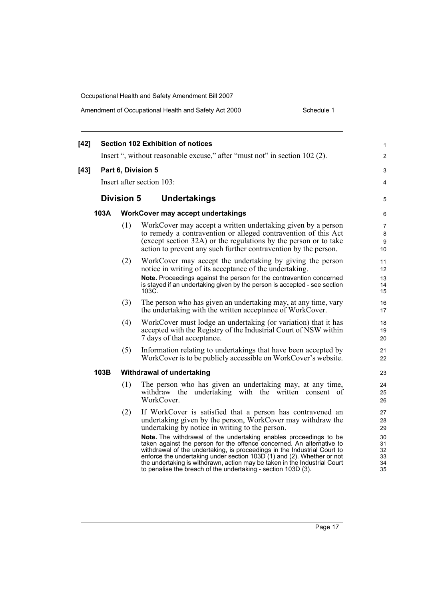| $[42]$ |                                   | <b>Section 102 Exhibition of notices</b>                                                                                                                                                                                                                                                                                                                                                                                                                                                                                                                                                                                       | 1                                                  |  |  |  |
|--------|-----------------------------------|--------------------------------------------------------------------------------------------------------------------------------------------------------------------------------------------------------------------------------------------------------------------------------------------------------------------------------------------------------------------------------------------------------------------------------------------------------------------------------------------------------------------------------------------------------------------------------------------------------------------------------|----------------------------------------------------|--|--|--|
|        |                                   | Insert ", without reasonable excuse," after "must not" in section 102 (2).                                                                                                                                                                                                                                                                                                                                                                                                                                                                                                                                                     | 2                                                  |  |  |  |
| $[43]$ | Part 6, Division 5                |                                                                                                                                                                                                                                                                                                                                                                                                                                                                                                                                                                                                                                | 3                                                  |  |  |  |
|        |                                   | Insert after section 103:                                                                                                                                                                                                                                                                                                                                                                                                                                                                                                                                                                                                      | 4                                                  |  |  |  |
|        | <b>Division 5</b><br>Undertakings |                                                                                                                                                                                                                                                                                                                                                                                                                                                                                                                                                                                                                                |                                                    |  |  |  |
| 103A   |                                   | WorkCover may accept undertakings                                                                                                                                                                                                                                                                                                                                                                                                                                                                                                                                                                                              |                                                    |  |  |  |
|        | (1)                               | WorkCover may accept a written undertaking given by a person<br>to remedy a contravention or alleged contravention of this Act<br>(except section 32A) or the regulations by the person or to take<br>action to prevent any such further contravention by the person.                                                                                                                                                                                                                                                                                                                                                          | 7<br>8<br>9<br>10                                  |  |  |  |
|        | (2)                               | WorkCover may accept the undertaking by giving the person<br>notice in writing of its acceptance of the undertaking.<br>Note. Proceedings against the person for the contravention concerned<br>is stayed if an undertaking given by the person is accepted - see section<br>103C.                                                                                                                                                                                                                                                                                                                                             | 11<br>12<br>13<br>14<br>15                         |  |  |  |
|        | (3)                               | The person who has given an undertaking may, at any time, vary<br>the undertaking with the written acceptance of WorkCover.                                                                                                                                                                                                                                                                                                                                                                                                                                                                                                    | 16<br>17                                           |  |  |  |
|        | (4)                               | WorkCover must lodge an undertaking (or variation) that it has<br>accepted with the Registry of the Industrial Court of NSW within<br>7 days of that acceptance.                                                                                                                                                                                                                                                                                                                                                                                                                                                               | 18<br>19<br>20                                     |  |  |  |
|        | (5)                               | Information relating to undertakings that have been accepted by<br>WorkCover is to be publicly accessible on WorkCover's website.                                                                                                                                                                                                                                                                                                                                                                                                                                                                                              | 21<br>22                                           |  |  |  |
| 103B   |                                   | Withdrawal of undertaking                                                                                                                                                                                                                                                                                                                                                                                                                                                                                                                                                                                                      | 23                                                 |  |  |  |
|        | (1)                               | The person who has given an undertaking may, at any time,<br>withdraw the undertaking with the written consent of<br>WorkCover.                                                                                                                                                                                                                                                                                                                                                                                                                                                                                                | 24<br>25<br>26                                     |  |  |  |
|        | (2)                               | If WorkCover is satisfied that a person has contravened an<br>undertaking given by the person, WorkCover may withdraw the<br>undertaking by notice in writing to the person.<br>Note. The withdrawal of the undertaking enables proceedings to be<br>taken against the person for the offence concerned. An alternative to<br>withdrawal of the undertaking, is proceedings in the Industrial Court to<br>enforce the undertaking under section 103D (1) and (2). Whether or not<br>the undertaking is withdrawn, action may be taken in the Industrial Court<br>to penalise the breach of the undertaking - section 103D (3). | 27<br>28<br>29<br>30<br>31<br>32<br>33<br>34<br>35 |  |  |  |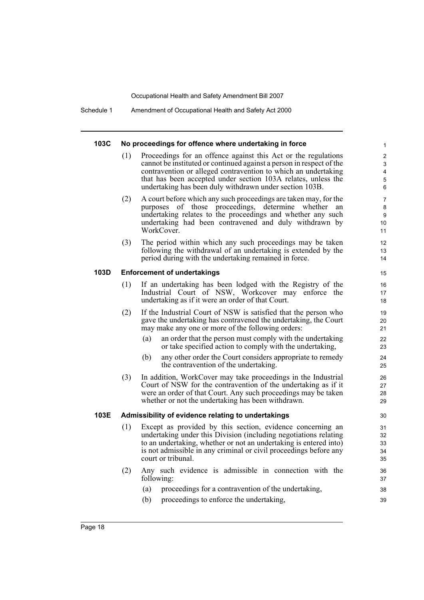Schedule 1 Amendment of Occupational Health and Safety Act 2000

#### **103C No proceedings for offence where undertaking in force**

Proceedings for an offence against this Act or the regulations cannot be instituted or continued against a person in respect of the contravention or alleged contravention to which an undertaking that has been accepted under section 103A relates, unless the undertaking has been duly withdrawn under section 103B.

- (2) A court before which any such proceedings are taken may, for the purposes of those proceedings, determine whether an undertaking relates to the proceedings and whether any such undertaking had been contravened and duly withdrawn by WorkCover.
- (3) The period within which any such proceedings may be taken following the withdrawal of an undertaking is extended by the period during with the undertaking remained in force.

#### **103D Enforcement of undertakings**

- (1) If an undertaking has been lodged with the Registry of the Industrial Court of NSW, Workcover may enforce the undertaking as if it were an order of that Court.
- (2) If the Industrial Court of NSW is satisfied that the person who gave the undertaking has contravened the undertaking, the Court may make any one or more of the following orders:
	- (a) an order that the person must comply with the undertaking or take specified action to comply with the undertaking,
	- (b) any other order the Court considers appropriate to remedy the contravention of the undertaking.
- (3) In addition, WorkCover may take proceedings in the Industrial Court of NSW for the contravention of the undertaking as if it were an order of that Court. Any such proceedings may be taken whether or not the undertaking has been withdrawn.

#### **103E Admissibility of evidence relating to undertakings**

- (1) Except as provided by this section, evidence concerning an undertaking under this Division (including negotiations relating to an undertaking, whether or not an undertaking is entered into) is not admissible in any criminal or civil proceedings before any court or tribunal.
- (2) Any such evidence is admissible in connection with the following:
	- (a) proceedings for a contravention of the undertaking,
	- (b) proceedings to enforce the undertaking,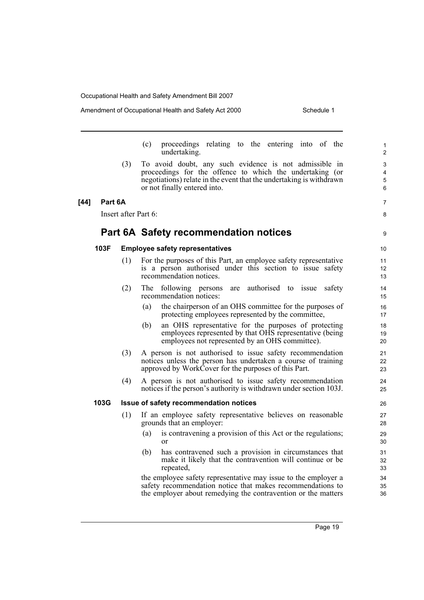#### Amendment of Occupational Health and Safety Act 2000 Schedule 1

7 8

9

(c) proceedings relating to the entering into of the undertaking.

(3) To avoid doubt, any such evidence is not admissible in proceedings for the offence to which the undertaking (or negotiations) relate in the event that the undertaking is withdrawn or not finally entered into.

#### **[44] Part 6A**

Insert after Part 6:

#### **Part 6A Safety recommendation notices**

#### **103F Employee safety representatives**

- (1) For the purposes of this Part, an employee safety representative is a person authorised under this section to issue safety recommendation notices.
- (2) The following persons are authorised to issue safety recommendation notices:
	- (a) the chairperson of an OHS committee for the purposes of protecting employees represented by the committee,
	- (b) an OHS representative for the purposes of protecting employees represented by that OHS representative (being employees not represented by an OHS committee).
- (3) A person is not authorised to issue safety recommendation notices unless the person has undertaken a course of training approved by WorkCover for the purposes of this Part.
- (4) A person is not authorised to issue safety recommendation notices if the person's authority is withdrawn under section 103J.

#### **103G Issue of safety recommendation notices**

- (1) If an employee safety representative believes on reasonable grounds that an employer:
	- (a) is contravening a provision of this Act or the regulations; or
	- (b) has contravened such a provision in circumstances that make it likely that the contravention will continue or be repeated,

the employee safety representative may issue to the employer a safety recommendation notice that makes recommendations to the employer about remedying the contravention or the matters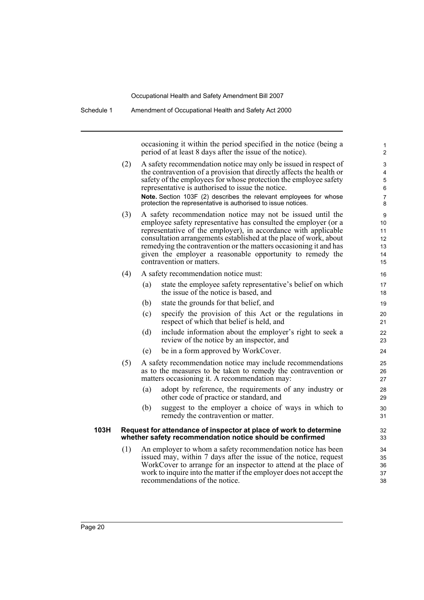| Schedule 1 | Amendment of Occupational Health and Safety Act 2000                                                                           |                                                                                                                                                                                                                                                                                                                                                                                                                                     |                                         |  |  |  |
|------------|--------------------------------------------------------------------------------------------------------------------------------|-------------------------------------------------------------------------------------------------------------------------------------------------------------------------------------------------------------------------------------------------------------------------------------------------------------------------------------------------------------------------------------------------------------------------------------|-----------------------------------------|--|--|--|
|            | occasioning it within the period specified in the notice (being a<br>period of at least 8 days after the issue of the notice). |                                                                                                                                                                                                                                                                                                                                                                                                                                     |                                         |  |  |  |
|            | (2)                                                                                                                            | A safety recommendation notice may only be issued in respect of<br>the contravention of a provision that directly affects the health or<br>safety of the employees for whose protection the employee safety<br>representative is authorised to issue the notice.<br>Note. Section 103F (2) describes the relevant employees for whose<br>protection the representative is authorised to issue notices.                              | 3<br>4<br>5<br>6<br>$\overline{7}$<br>8 |  |  |  |
|            | (3)                                                                                                                            | A safety recommendation notice may not be issued until the<br>employee safety representative has consulted the employer (or a<br>representative of the employer), in accordance with applicable<br>consultation arrangements established at the place of work, about<br>remedying the contravention or the matters occasioning it and has<br>given the employer a reasonable opportunity to remedy the<br>contravention or matters. | 9<br>10<br>11<br>12<br>13<br>14<br>15   |  |  |  |
|            | (4)                                                                                                                            | A safety recommendation notice must:                                                                                                                                                                                                                                                                                                                                                                                                | 16                                      |  |  |  |
|            |                                                                                                                                | state the employee safety representative's belief on which<br>(a)<br>the issue of the notice is based, and                                                                                                                                                                                                                                                                                                                          | 17<br>18                                |  |  |  |
|            |                                                                                                                                | (b)<br>state the grounds for that belief, and                                                                                                                                                                                                                                                                                                                                                                                       | 19                                      |  |  |  |
|            |                                                                                                                                | specify the provision of this Act or the regulations in<br>(c)<br>respect of which that belief is held, and                                                                                                                                                                                                                                                                                                                         | 20<br>21                                |  |  |  |
|            |                                                                                                                                | (d)<br>include information about the employer's right to seek a<br>review of the notice by an inspector, and                                                                                                                                                                                                                                                                                                                        | 22<br>23                                |  |  |  |
|            |                                                                                                                                | be in a form approved by WorkCover.<br>(e)                                                                                                                                                                                                                                                                                                                                                                                          | 24                                      |  |  |  |
|            | (5)                                                                                                                            | A safety recommendation notice may include recommendations<br>as to the measures to be taken to remedy the contravention or<br>matters occasioning it. A recommendation may:                                                                                                                                                                                                                                                        | 25<br>26<br>27                          |  |  |  |
|            |                                                                                                                                | adopt by reference, the requirements of any industry or<br>(a)<br>other code of practice or standard, and                                                                                                                                                                                                                                                                                                                           | 28<br>29                                |  |  |  |
|            |                                                                                                                                | suggest to the employer a choice of ways in which to<br>(b)<br>remedy the contravention or matter.                                                                                                                                                                                                                                                                                                                                  | 30<br>31                                |  |  |  |
| 103H       |                                                                                                                                | Request for attendance of inspector at place of work to determine<br>whether safety recommendation notice should be confirmed                                                                                                                                                                                                                                                                                                       | 32<br>33                                |  |  |  |
|            | (1)                                                                                                                            | An employer to whom a safety recommendation notice has been<br>issued may, within 7 days after the issue of the notice, request<br>WorkCover to arrange for an inspector to attend at the place of<br>work to inquire into the matter if the employer does not accept the<br>recommendations of the notice.                                                                                                                         | 34<br>35<br>36<br>37<br>38              |  |  |  |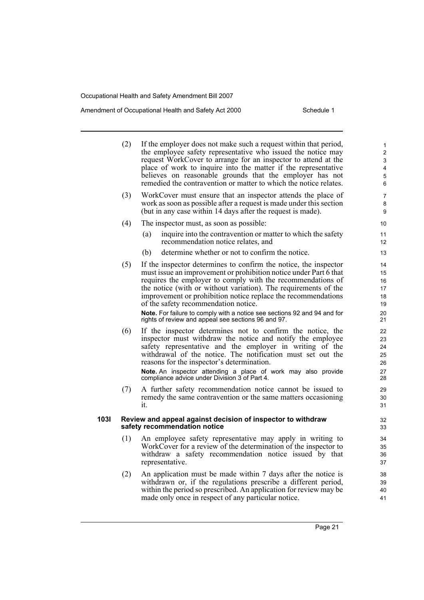i.

#### Amendment of Occupational Health and Safety Act 2000 Schedule 1

| If the employer does not make such a request within that period,<br>the employee safety representative who issued the notice may<br>request WorkCover to arrange for an inspector to attend at the<br>place of work to inquire into the matter if the representative<br>believes on reasonable grounds that the employer has not<br>remedied the contravention or matter to which the notice relates. | $\mathbf{1}$<br>$\overline{\mathbf{c}}$<br>3<br>4<br>5<br>6                                                                                                                                                                                    |
|-------------------------------------------------------------------------------------------------------------------------------------------------------------------------------------------------------------------------------------------------------------------------------------------------------------------------------------------------------------------------------------------------------|------------------------------------------------------------------------------------------------------------------------------------------------------------------------------------------------------------------------------------------------|
| WorkCover must ensure that an inspector attends the place of<br>work as soon as possible after a request is made under this section<br>(but in any case within 14 days after the request is made).                                                                                                                                                                                                    | $\overline{7}$<br>8<br>9                                                                                                                                                                                                                       |
| The inspector must, as soon as possible:                                                                                                                                                                                                                                                                                                                                                              | 10                                                                                                                                                                                                                                             |
| inquire into the contravention or matter to which the safety<br>(a)<br>recommendation notice relates, and                                                                                                                                                                                                                                                                                             | 11<br>12                                                                                                                                                                                                                                       |
| determine whether or not to confirm the notice.<br>(b)                                                                                                                                                                                                                                                                                                                                                | 13                                                                                                                                                                                                                                             |
| If the inspector determines to confirm the notice, the inspector<br>must issue an improvement or prohibition notice under Part 6 that<br>requires the employer to comply with the recommendations of<br>the notice (with or without variation). The requirements of the<br>improvement or prohibition notice replace the recommendations<br>of the safety recommendation notice.                      | 14<br>15<br>16<br>17<br>18<br>19<br>20                                                                                                                                                                                                         |
|                                                                                                                                                                                                                                                                                                                                                                                                       | 21                                                                                                                                                                                                                                             |
| inspector must withdraw the notice and notify the employee<br>safety representative and the employer in writing of the<br>withdrawal of the notice. The notification must set out the<br>reasons for the inspector's determination.<br>Note. An inspector attending a place of work may also provide                                                                                                  | 22<br>23<br>24<br>25<br>26<br>27<br>28                                                                                                                                                                                                         |
| A further safety recommendation notice cannot be issued to<br>remedy the same contravention or the same matters occasioning<br>it.                                                                                                                                                                                                                                                                    | 29<br>30<br>31                                                                                                                                                                                                                                 |
| Review and appeal against decision of inspector to withdraw<br>safety recommendation notice                                                                                                                                                                                                                                                                                                           | 32<br>33                                                                                                                                                                                                                                       |
| An employee safety representative may apply in writing to<br>WorkCover for a review of the determination of the inspector to<br>withdraw a safety recommendation notice issued by that<br>representative.                                                                                                                                                                                             | 34<br>35<br>36<br>37                                                                                                                                                                                                                           |
| An application must be made within 7 days after the notice is<br>withdrawn or, if the regulations prescribe a different period,<br>within the period so prescribed. An application for review may be<br>made only once in respect of any particular notice.                                                                                                                                           | 38<br>39<br>40<br>41                                                                                                                                                                                                                           |
|                                                                                                                                                                                                                                                                                                                                                                                                       |                                                                                                                                                                                                                                                |
| Page 21                                                                                                                                                                                                                                                                                                                                                                                               |                                                                                                                                                                                                                                                |
|                                                                                                                                                                                                                                                                                                                                                                                                       | Note. For failure to comply with a notice see sections 92 and 94 and for<br>rights of review and appeal see sections 96 and 97.<br>If the inspector determines not to confirm the notice, the<br>compliance advice under Division 3 of Part 4. |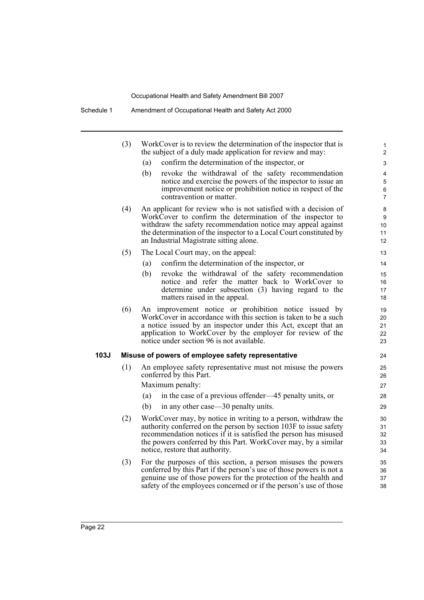|      | (3) | WorkCover is to review the determination of the inspector that is<br>the subject of a duly made application for review and may:                                                                                                                                                                                | 1<br>$\overline{2}$                     |
|------|-----|----------------------------------------------------------------------------------------------------------------------------------------------------------------------------------------------------------------------------------------------------------------------------------------------------------------|-----------------------------------------|
|      |     | (a)<br>confirm the determination of the inspector, or                                                                                                                                                                                                                                                          | 3                                       |
|      |     | revoke the withdrawal of the safety recommendation<br>(b)<br>notice and exercise the powers of the inspector to issue an<br>improvement notice or prohibition notice in respect of the<br>contravention or matter.                                                                                             | 4<br>$\mathbf 5$<br>6<br>$\overline{7}$ |
|      | (4) | An applicant for review who is not satisfied with a decision of<br>WorkCover to confirm the determination of the inspector to<br>withdraw the safety recommendation notice may appeal against<br>the determination of the inspector to a Local Court constituted by<br>an Industrial Magistrate sitting alone. | 8<br>9<br>10<br>11<br>12                |
|      | (5) | The Local Court may, on the appeal:                                                                                                                                                                                                                                                                            | 13                                      |
|      |     | confirm the determination of the inspector, or<br>(a)                                                                                                                                                                                                                                                          | 14                                      |
|      |     | (b)<br>revoke the withdrawal of the safety recommendation<br>notice and refer the matter back to WorkCover to<br>determine under subsection (3) having regard to the<br>matters raised in the appeal.                                                                                                          | 15<br>16<br>17<br>18                    |
|      | (6) | An improvement notice or prohibition notice issued by<br>WorkCover in accordance with this section is taken to be a such<br>a notice issued by an inspector under this Act, except that an<br>application to WorkCover by the employer for review of the<br>notice under section 96 is not available.          | 19<br>20<br>21<br>22<br>23              |
| 103J |     | Misuse of powers of employee safety representative                                                                                                                                                                                                                                                             | 24                                      |
|      | (1) | An employee safety representative must not misuse the powers<br>conferred by this Part.<br>Maximum penalty:<br>in the case of a previous offender—45 penalty units, or<br>(a)                                                                                                                                  | 25<br>26<br>27<br>28                    |
|      |     | in any other case—30 penalty units.<br>(b)                                                                                                                                                                                                                                                                     | 29                                      |
|      | (2) | WorkCover may, by notice in writing to a person, withdraw the<br>authority conferred on the person by section 103F to issue safety<br>recommendation notices if it is satisfied the person has misused<br>the powers conferred by this Part. WorkCover may, by a similar<br>notice, restore that authority.    | 30<br>31<br>32<br>33<br>34              |
|      | (3) | For the purposes of this section, a person misuses the powers<br>conferred by this Part if the person's use of those powers is not a<br>genuine use of those powers for the protection of the health and<br>safety of the employees concerned or if the person's use of those                                  | 35<br>36<br>37<br>38                    |
|      |     |                                                                                                                                                                                                                                                                                                                |                                         |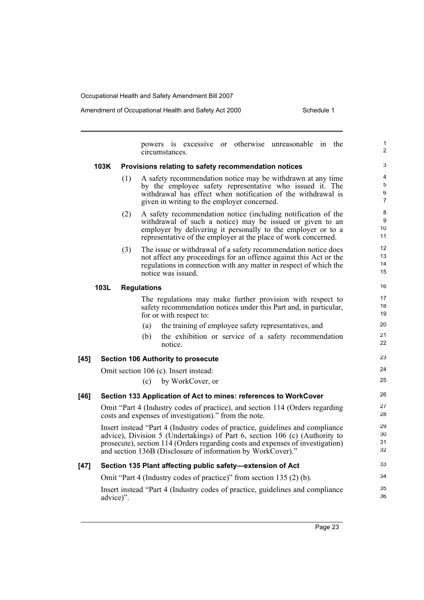powers is excessive or otherwise unreasonable in the circumstances. **103K Provisions relating to safety recommendation notices** (1) A safety recommendation notice may be withdrawn at any time by the employee safety representative who issued it. The withdrawal has effect when notification of the withdrawal is given in writing to the employer concerned. (2) A safety recommendation notice (including notification of the withdrawal of such a notice) may be issued or given to an employer by delivering it personally to the employer or to a representative of the employer at the place of work concerned. (3) The issue or withdrawal of a safety recommendation notice does not affect any proceedings for an offence against this Act or the regulations in connection with any matter in respect of which the notice was issued. **103L Regulations** The regulations may make further provision with respect to safety recommendation notices under this Part and, in particular, for or with respect to: (a) the training of employee safety representatives, and (b) the exhibition or service of a safety recommendation notice. **[45] Section 106 Authority to prosecute** Omit section 106 (c). Insert instead: (c) by WorkCover, or **[46] Section 133 Application of Act to mines: references to WorkCover** Omit "Part 4 (Industry codes of practice), and section 114 (Orders regarding costs and expenses of investigation)." from the note. Insert instead "Part 4 (Industry codes of practice, guidelines and compliance advice), Division 5 (Undertakings) of Part 6, section 106 (c) (Authority to prosecute), section 114 (Orders regarding costs and expenses of investigation) and section 136B (Disclosure of information by WorkCover)." **[47] Section 135 Plant affecting public safety—extension of Act** Omit "Part 4 (Industry codes of practice)" from section 135 (2) (b). Insert instead "Part 4 (Industry codes of practice, guidelines and compliance advice)". 1 2 3 4 5 6 7 8 9 10 11 12 13 14 15 16 17 18 19 20  $21$ 22 23 24 25 26 27 28 29 30 31 32 33 34 35 36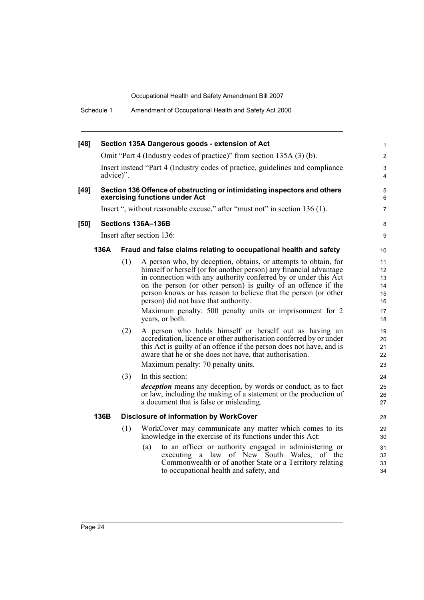| $[48]$ |                                                                                                            |                                                                                            | Section 135A Dangerous goods - extension of Act                                                                                                                                                                                                                                                                                                                                                                                                                                                                                                                                                                                                                                                                                                                                                                                                                                                                                                 | 1                                                                                            |  |  |  |  |
|--------|------------------------------------------------------------------------------------------------------------|--------------------------------------------------------------------------------------------|-------------------------------------------------------------------------------------------------------------------------------------------------------------------------------------------------------------------------------------------------------------------------------------------------------------------------------------------------------------------------------------------------------------------------------------------------------------------------------------------------------------------------------------------------------------------------------------------------------------------------------------------------------------------------------------------------------------------------------------------------------------------------------------------------------------------------------------------------------------------------------------------------------------------------------------------------|----------------------------------------------------------------------------------------------|--|--|--|--|
|        |                                                                                                            |                                                                                            | Omit "Part 4 (Industry codes of practice)" from section 135A (3) (b).                                                                                                                                                                                                                                                                                                                                                                                                                                                                                                                                                                                                                                                                                                                                                                                                                                                                           | $\overline{2}$                                                                               |  |  |  |  |
|        |                                                                                                            | Insert instead "Part 4 (Industry codes of practice, guidelines and compliance<br>advice)". |                                                                                                                                                                                                                                                                                                                                                                                                                                                                                                                                                                                                                                                                                                                                                                                                                                                                                                                                                 |                                                                                              |  |  |  |  |
| $[49]$ | Section 136 Offence of obstructing or intimidating inspectors and others<br>exercising functions under Act |                                                                                            |                                                                                                                                                                                                                                                                                                                                                                                                                                                                                                                                                                                                                                                                                                                                                                                                                                                                                                                                                 |                                                                                              |  |  |  |  |
|        |                                                                                                            |                                                                                            | Insert ", without reasonable excuse," after "must not" in section 136 (1).                                                                                                                                                                                                                                                                                                                                                                                                                                                                                                                                                                                                                                                                                                                                                                                                                                                                      | $\overline{7}$                                                                               |  |  |  |  |
| [50]   |                                                                                                            |                                                                                            | Sections 136A-136B                                                                                                                                                                                                                                                                                                                                                                                                                                                                                                                                                                                                                                                                                                                                                                                                                                                                                                                              | 8                                                                                            |  |  |  |  |
|        |                                                                                                            |                                                                                            | Insert after section 136:                                                                                                                                                                                                                                                                                                                                                                                                                                                                                                                                                                                                                                                                                                                                                                                                                                                                                                                       | 9                                                                                            |  |  |  |  |
|        | 136A                                                                                                       |                                                                                            | Fraud and false claims relating to occupational health and safety                                                                                                                                                                                                                                                                                                                                                                                                                                                                                                                                                                                                                                                                                                                                                                                                                                                                               | 10                                                                                           |  |  |  |  |
|        |                                                                                                            | (1)<br>(2)<br>(3)                                                                          | A person who, by deception, obtains, or attempts to obtain, for<br>himself or herself (or for another person) any financial advantage<br>in connection with any authority conferred by or under this Act<br>on the person (or other person) is guilty of an offence if the<br>person knows or has reason to believe that the person (or other<br>person) did not have that authority.<br>Maximum penalty: 500 penalty units or imprisonment for 2<br>years, or both.<br>A person who holds himself or herself out as having an<br>accreditation, licence or other authorisation conferred by or under<br>this Act is guilty of an offence if the person does not have, and is<br>aware that he or she does not have, that authorisation.<br>Maximum penalty: 70 penalty units.<br>In this section:<br><i>deception</i> means any deception, by words or conduct, as to fact<br>or law, including the making of a statement or the production of | 11<br>12<br>13<br>14<br>15<br>16<br>17<br>18<br>19<br>20<br>21<br>22<br>23<br>24<br>25<br>26 |  |  |  |  |
|        |                                                                                                            |                                                                                            | a document that is false or misleading.                                                                                                                                                                                                                                                                                                                                                                                                                                                                                                                                                                                                                                                                                                                                                                                                                                                                                                         | 27                                                                                           |  |  |  |  |
|        | 136B                                                                                                       |                                                                                            | <b>Disclosure of information by WorkCover</b>                                                                                                                                                                                                                                                                                                                                                                                                                                                                                                                                                                                                                                                                                                                                                                                                                                                                                                   | 28                                                                                           |  |  |  |  |
|        |                                                                                                            | (1)                                                                                        | WorkCover may communicate any matter which comes to its<br>knowledge in the exercise of its functions under this Act:                                                                                                                                                                                                                                                                                                                                                                                                                                                                                                                                                                                                                                                                                                                                                                                                                           | 29<br>30                                                                                     |  |  |  |  |
|        |                                                                                                            |                                                                                            | to an officer or authority engaged in administering or<br>(a)<br>executing a law of New South Wales,<br>of the<br>Commonwealth or of another State or a Territory relating<br>to occupational health and safety, and                                                                                                                                                                                                                                                                                                                                                                                                                                                                                                                                                                                                                                                                                                                            | 31<br>32<br>33<br>34                                                                         |  |  |  |  |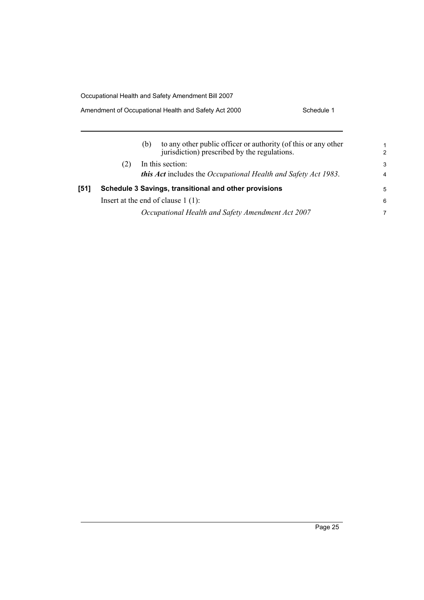#### Amendment of Occupational Health and Safety Act 2000 Schedule 1

| (b) | to any other public officer or authority (of this or any other<br>jurisdiction) prescribed by the regulations. | 1<br>$\mathcal{P}$                                                                                                                                                                                                                              |
|-----|----------------------------------------------------------------------------------------------------------------|-------------------------------------------------------------------------------------------------------------------------------------------------------------------------------------------------------------------------------------------------|
|     |                                                                                                                | 3                                                                                                                                                                                                                                               |
|     |                                                                                                                | $\overline{4}$                                                                                                                                                                                                                                  |
|     |                                                                                                                | 5                                                                                                                                                                                                                                               |
|     |                                                                                                                | 6                                                                                                                                                                                                                                               |
|     |                                                                                                                | 7                                                                                                                                                                                                                                               |
|     |                                                                                                                | In this section:<br><b>this Act</b> includes the Occupational Health and Safety Act 1983.<br>Schedule 3 Savings, transitional and other provisions<br>Insert at the end of clause $1(1)$ :<br>Occupational Health and Safety Amendment Act 2007 |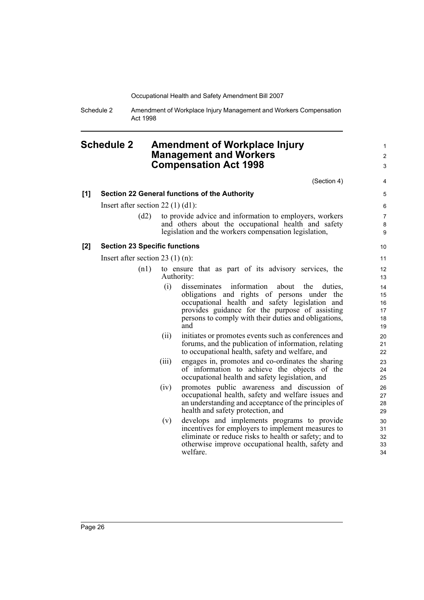Schedule 2 Amendment of Workplace Injury Management and Workers Compensation Act 1998

#### <span id="page-35-0"></span>**Schedule 2 Amendment of Workplace Injury Management and Workers Compensation Act 1998**

(Section 4)

1  $\mathfrak{p}$ 3

#### **[1] Section 22 General functions of the Authority**

Insert after section 22 (1) (d1):

(d2) to provide advice and information to employers, workers and others about the occupational health and safety legislation and the workers compensation legislation,

#### **[2] Section 23 Specific functions**

Insert after section 23 (1) (n):

- (n1) to ensure that as part of its advisory services, the Authority:
	- (i) disseminates information about the duties, obligations and rights of persons under the occupational health and safety legislation and provides guidance for the purpose of assisting persons to comply with their duties and obligations, and
	- (ii) initiates or promotes events such as conferences and forums, and the publication of information, relating to occupational health, safety and welfare, and
	- (iii) engages in, promotes and co-ordinates the sharing of information to achieve the objects of the occupational health and safety legislation, and
	- (iv) promotes public awareness and discussion of occupational health, safety and welfare issues and an understanding and acceptance of the principles of health and safety protection, and
	- (v) develops and implements programs to provide incentives for employers to implement measures to eliminate or reduce risks to health or safety; and to otherwise improve occupational health, safety and welfare.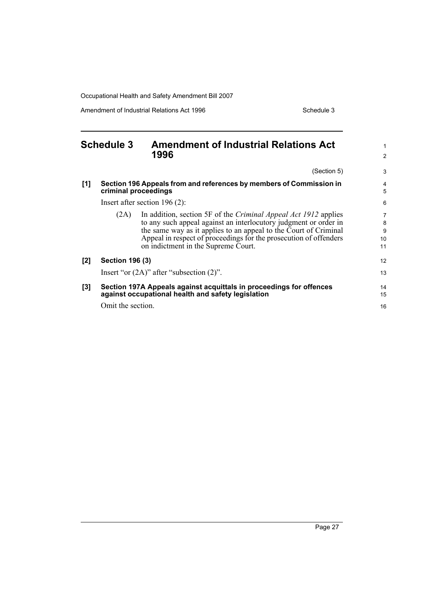Amendment of Industrial Relations Act 1996 Schedule 3

<span id="page-36-0"></span>

|     | <b>Schedule 3</b>      | <b>Amendment of Industrial Relations Act</b><br>1996                                                                                                                                                                                                                                                                |                         |
|-----|------------------------|---------------------------------------------------------------------------------------------------------------------------------------------------------------------------------------------------------------------------------------------------------------------------------------------------------------------|-------------------------|
|     |                        | (Section 5)                                                                                                                                                                                                                                                                                                         | 3                       |
| [1] |                        | Section 196 Appeals from and references by members of Commission in<br>criminal proceedings                                                                                                                                                                                                                         | 4<br>5                  |
|     |                        | Insert after section $196(2)$ :                                                                                                                                                                                                                                                                                     | 6                       |
|     | (2A)                   | In addition, section 5F of the Criminal Appeal Act 1912 applies<br>to any such appeal against an interlocutory judgment or order in<br>the same way as it applies to an appeal to the Court of Criminal<br>Appeal in respect of proceedings for the prosecution of offenders<br>on indictment in the Supreme Court. | 7<br>8<br>9<br>10<br>11 |
| [2] | <b>Section 196 (3)</b> |                                                                                                                                                                                                                                                                                                                     | 12                      |
|     |                        | Insert "or $(2A)$ " after "subsection $(2)$ ".                                                                                                                                                                                                                                                                      | 13                      |
| [3] |                        | Section 197A Appeals against acquittals in proceedings for offences<br>against occupational health and safety legislation                                                                                                                                                                                           | 14<br>15                |
|     | Omit the section.      |                                                                                                                                                                                                                                                                                                                     | 16                      |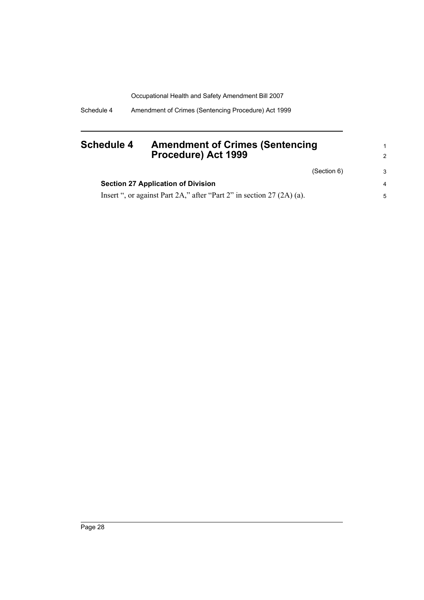Schedule 4 Amendment of Crimes (Sentencing Procedure) Act 1999

### <span id="page-37-0"></span>**Schedule 4 Amendment of Crimes (Sentencing Procedure) Act 1999**

(Section 6)

1 2

3

| <b>Section 27 Application of Division</b>                               |  |
|-------------------------------------------------------------------------|--|
| Insert ", or against Part 2A," after "Part 2" in section $27 (2A)$ (a). |  |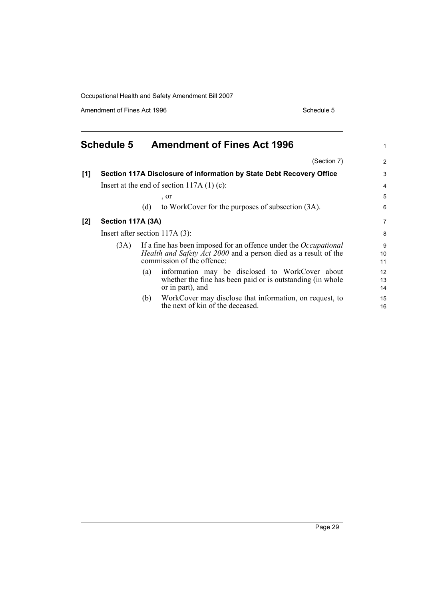Amendment of Fines Act 1996 Schedule 5

<span id="page-38-0"></span>

|     | <b>Schedule 5</b>                |                                             | <b>Amendment of Fines Act 1996</b>                                                                                                                                              | 1                          |  |
|-----|----------------------------------|---------------------------------------------|---------------------------------------------------------------------------------------------------------------------------------------------------------------------------------|----------------------------|--|
|     |                                  |                                             | (Section 7)                                                                                                                                                                     | 2                          |  |
| [1] |                                  |                                             | Section 117A Disclosure of information by State Debt Recovery Office                                                                                                            | 3                          |  |
|     |                                  | Insert at the end of section $117A(1)(c)$ : |                                                                                                                                                                                 |                            |  |
|     |                                  |                                             | , or                                                                                                                                                                            | 5                          |  |
|     |                                  | (d)                                         | to WorkCover for the purposes of subsection (3A).                                                                                                                               | 6                          |  |
| [2] | Section 117A (3A)                |                                             |                                                                                                                                                                                 |                            |  |
|     | Insert after section $117A(3)$ : |                                             |                                                                                                                                                                                 |                            |  |
|     | (3A)                             |                                             | If a fine has been imposed for an offence under the <i>Occupational</i><br><i>Health and Safety Act 2000</i> and a person died as a result of the<br>commission of the offence: | 9<br>10 <sup>°</sup><br>11 |  |
|     |                                  | (a)                                         | information may be disclosed to WorkCover about<br>whether the fine has been paid or is outstanding (in whole<br>or in part), and                                               | 12<br>13<br>14             |  |
|     |                                  | (b)                                         | WorkCover may disclose that information, on request, to<br>the next of kin of the deceased.                                                                                     | 15<br>16                   |  |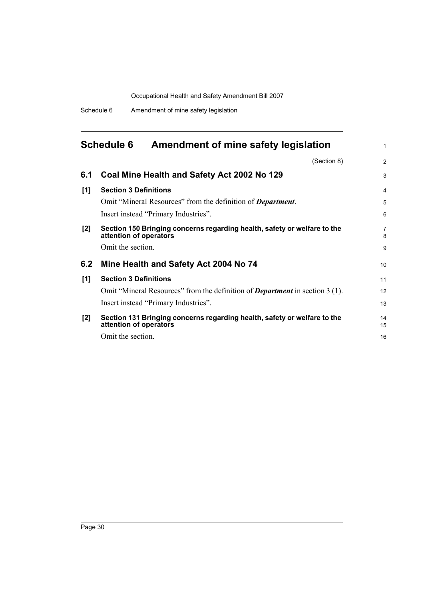Schedule 6 Amendment of mine safety legislation

# <span id="page-39-0"></span>**Schedule 6 Amendment of mine safety legislation**

|     | (Section 8)                                                                                        | $\overline{2}$ |  |  |  |
|-----|----------------------------------------------------------------------------------------------------|----------------|--|--|--|
| 6.1 | Coal Mine Health and Safety Act 2002 No 129                                                        | 3              |  |  |  |
| [1] | <b>Section 3 Definitions</b>                                                                       | $\overline{4}$ |  |  |  |
|     | Omit "Mineral Resources" from the definition of <b>Department</b> .                                | 5              |  |  |  |
|     | Insert instead "Primary Industries".                                                               | 6              |  |  |  |
| [2] | Section 150 Bringing concerns regarding health, safety or welfare to the<br>attention of operators | 7<br>8         |  |  |  |
|     | Omit the section.                                                                                  | 9              |  |  |  |
| 6.2 | Mine Health and Safety Act 2004 No 74                                                              | 10             |  |  |  |
| [1] | <b>Section 3 Definitions</b>                                                                       | 11             |  |  |  |
|     | Omit "Mineral Resources" from the definition of <i>Department</i> in section 3 (1).                | 12             |  |  |  |
|     | Insert instead "Primary Industries".                                                               | 13             |  |  |  |
| [2] | Section 131 Bringing concerns regarding health, safety or welfare to the<br>attention of operators |                |  |  |  |
|     | Omit the section.                                                                                  | 16             |  |  |  |

1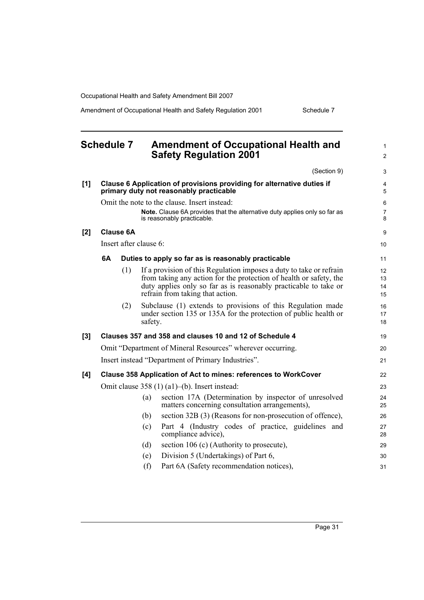Amendment of Occupational Health and Safety Regulation 2001 Schedule 7

<span id="page-40-0"></span>

| <b>Schedule 7</b> |                                                                                                                   |                  | <b>Amendment of Occupational Health and</b><br><b>Safety Regulation 2001</b> | $\mathbf{1}$<br>$\overline{c}$                                                                                                                                                                                                                    |                      |
|-------------------|-------------------------------------------------------------------------------------------------------------------|------------------|------------------------------------------------------------------------------|---------------------------------------------------------------------------------------------------------------------------------------------------------------------------------------------------------------------------------------------------|----------------------|
|                   |                                                                                                                   |                  |                                                                              | (Section 9)                                                                                                                                                                                                                                       | 3                    |
| [1]               | Clause 6 Application of provisions providing for alternative duties if<br>primary duty not reasonably practicable |                  |                                                                              |                                                                                                                                                                                                                                                   | 4<br>5               |
|                   |                                                                                                                   |                  |                                                                              | Omit the note to the clause. Insert instead:                                                                                                                                                                                                      | 6                    |
|                   |                                                                                                                   |                  |                                                                              | Note. Clause 6A provides that the alternative duty applies only so far as<br>is reasonably practicable.                                                                                                                                           | 7<br>8               |
| [2]               |                                                                                                                   | <b>Clause 6A</b> |                                                                              |                                                                                                                                                                                                                                                   | 9                    |
|                   |                                                                                                                   |                  | Insert after clause 6:                                                       |                                                                                                                                                                                                                                                   | 10                   |
|                   | 6A                                                                                                                |                  |                                                                              | Duties to apply so far as is reasonably practicable                                                                                                                                                                                               | 11                   |
|                   |                                                                                                                   | (1)              |                                                                              | If a provision of this Regulation imposes a duty to take or refrain<br>from taking any action for the protection of health or safety, the<br>duty applies only so far as is reasonably practicable to take or<br>refrain from taking that action. | 12<br>13<br>14<br>15 |
|                   |                                                                                                                   | (2)              | safety.                                                                      | Subclause (1) extends to provisions of this Regulation made<br>under section 135 or 135A for the protection of public health or                                                                                                                   | 16<br>17<br>18       |
| [3]               |                                                                                                                   |                  |                                                                              | Clauses 357 and 358 and clauses 10 and 12 of Schedule 4                                                                                                                                                                                           | 19                   |
|                   |                                                                                                                   |                  |                                                                              | Omit "Department of Mineral Resources" wherever occurring.                                                                                                                                                                                        | 20                   |
|                   |                                                                                                                   |                  |                                                                              | Insert instead "Department of Primary Industries".                                                                                                                                                                                                | 21                   |
| [4]               |                                                                                                                   |                  |                                                                              | Clause 358 Application of Act to mines: references to WorkCover                                                                                                                                                                                   | 22                   |
|                   | Omit clause $358(1)(a1)$ –(b). Insert instead:                                                                    |                  |                                                                              |                                                                                                                                                                                                                                                   |                      |
|                   |                                                                                                                   |                  | (a)                                                                          | section 17A (Determination by inspector of unresolved<br>matters concerning consultation arrangements),                                                                                                                                           | 24<br>25             |
|                   |                                                                                                                   |                  | (b)                                                                          | section 32B (3) (Reasons for non-prosecution of offence),                                                                                                                                                                                         | 26                   |
|                   |                                                                                                                   |                  | (c)                                                                          | Part 4 (Industry codes of practice, guidelines and<br>compliance advice),                                                                                                                                                                         | 27<br>28             |
|                   |                                                                                                                   |                  | (d)                                                                          | section 106 (c) (Authority to prosecute),                                                                                                                                                                                                         | 29                   |
|                   |                                                                                                                   |                  | (e)                                                                          | Division 5 (Undertakings) of Part 6,                                                                                                                                                                                                              | 30                   |
|                   |                                                                                                                   |                  | (f)                                                                          | Part 6A (Safety recommendation notices),                                                                                                                                                                                                          | 31                   |